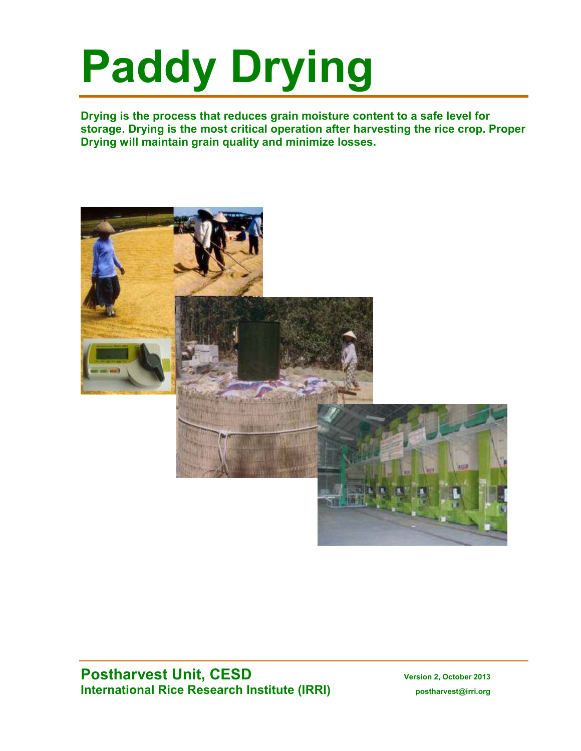# **Paddy Drying**

**Drying is the process that reduces grain moisture content to a safe level for storage. Drying is the most critical operation after harvesting the rice crop. Proper Drying will maintain grain quality and minimize losses.** 



# **Postharvest Unit, CESD** Version 2, October 2013 **International Rice Research Institute (IRRI)** postharvest@irri.org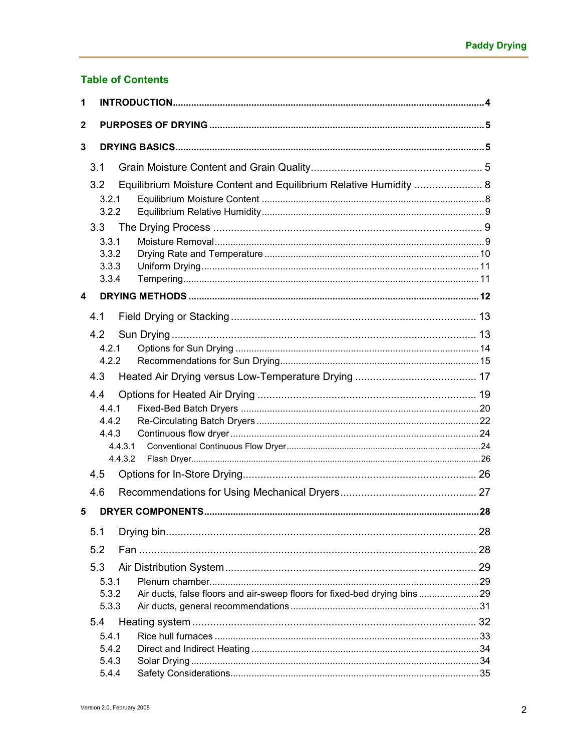# **Table of Contents**

| 1 |                           |                                                                          |  |
|---|---------------------------|--------------------------------------------------------------------------|--|
| 2 |                           |                                                                          |  |
| 3 |                           |                                                                          |  |
|   | 3.1                       |                                                                          |  |
|   |                           |                                                                          |  |
|   | 3.2 <sub>2</sub><br>3.2.1 | Equilibrium Moisture Content and Equilibrium Relative Humidity  8        |  |
|   | 3.2.2                     |                                                                          |  |
|   | 3.3                       |                                                                          |  |
|   | 3.3.1                     |                                                                          |  |
|   | 3.3.2<br>3.3.3            |                                                                          |  |
|   | 3.3.4                     |                                                                          |  |
| 4 |                           |                                                                          |  |
|   | 4.1                       |                                                                          |  |
|   | 4.2                       |                                                                          |  |
|   | 4.2.1                     |                                                                          |  |
|   | 4.2.2                     |                                                                          |  |
|   | 4.3                       |                                                                          |  |
|   | 4.4                       |                                                                          |  |
|   | 4.4.1                     |                                                                          |  |
|   | 4.4.2<br>4.4.3            |                                                                          |  |
|   | 4.4.3.1                   |                                                                          |  |
|   | 4.4.3.2                   |                                                                          |  |
|   | 4.5                       |                                                                          |  |
|   | 4.6                       |                                                                          |  |
| 5 |                           |                                                                          |  |
|   | 5.1                       |                                                                          |  |
|   | 5.2                       |                                                                          |  |
|   | 5.3                       |                                                                          |  |
|   | 5.3.1                     |                                                                          |  |
|   | 5.3.2                     | Air ducts, false floors and air-sweep floors for fixed-bed drying bins29 |  |
|   | 5.3.3                     |                                                                          |  |
|   | 5.4<br>5.4.1              |                                                                          |  |
|   | 5.4.2                     |                                                                          |  |
|   | 5.4.3                     |                                                                          |  |
|   | 5.4.4                     |                                                                          |  |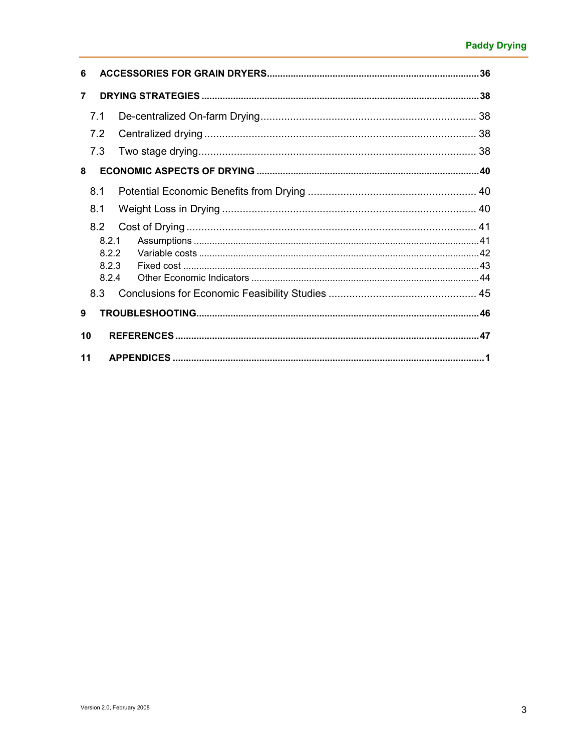| 6              |  |
|----------------|--|
| $\overline{7}$ |  |
| 7.1            |  |
| 7.2            |  |
| 7.3            |  |
| 8              |  |
| 8.1            |  |
| 8.1            |  |
| 8.2            |  |
| 8.2.1          |  |
| 8.2.2          |  |
| 8.2.3<br>8.2.4 |  |
| 8.3            |  |
| 9              |  |
| 10             |  |
| 11             |  |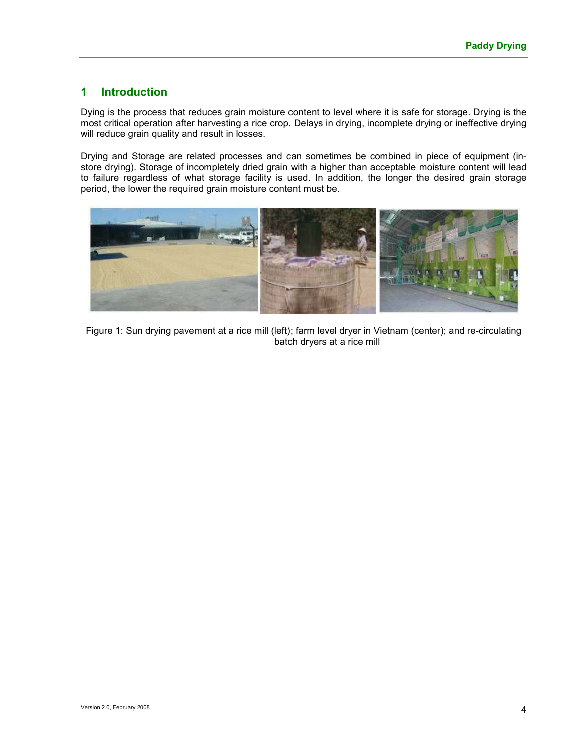## **1 Introduction**

Dying is the process that reduces grain moisture content to level where it is safe for storage. Drying is the most critical operation after harvesting a rice crop. Delays in drying, incomplete drying or ineffective drying will reduce grain quality and result in losses.

Drying and Storage are related processes and can sometimes be combined in piece of equipment (instore drying). Storage of incompletely dried grain with a higher than acceptable moisture content will lead to failure regardless of what storage facility is used. In addition, the longer the desired grain storage period, the lower the required grain moisture content must be.



Figure 1: Sun drying pavement at a rice mill (left); farm level dryer in Vietnam (center); and re-circulating batch dryers at a rice mill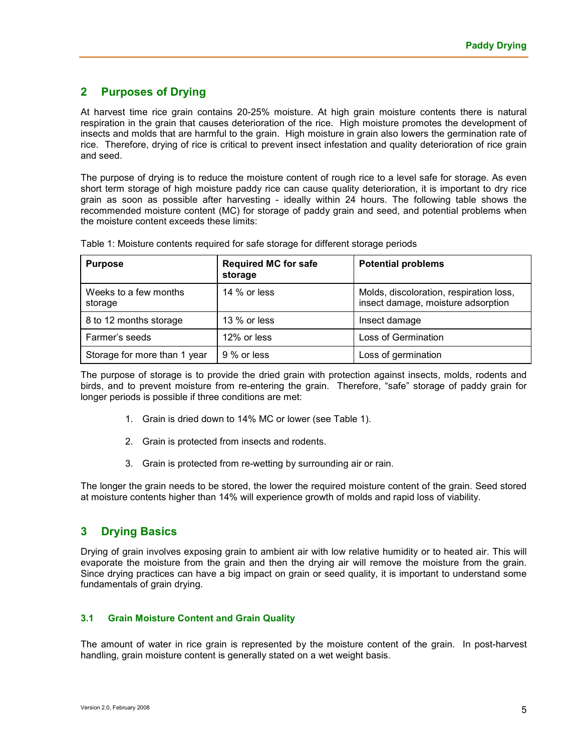# **2 Purposes of Drying**

At harvest time rice grain contains 20-25% moisture. At high grain moisture contents there is natural respiration in the grain that causes deterioration of the rice. High moisture promotes the development of insects and molds that are harmful to the grain. High moisture in grain also lowers the germination rate of rice. Therefore, drying of rice is critical to prevent insect infestation and quality deterioration of rice grain and seed.

The purpose of drying is to reduce the moisture content of rough rice to a level safe for storage. As even short term storage of high moisture paddy rice can cause quality deterioration, it is important to dry rice grain as soon as possible after harvesting - ideally within 24 hours. The following table shows the recommended moisture content (MC) for storage of paddy grain and seed, and potential problems when the moisture content exceeds these limits:

| <b>Purpose</b>                   | <b>Required MC for safe</b><br>storage | <b>Potential problems</b>                                                     |
|----------------------------------|----------------------------------------|-------------------------------------------------------------------------------|
| Weeks to a few months<br>storage | 14 % or less                           | Molds, discoloration, respiration loss,<br>insect damage, moisture adsorption |
| 8 to 12 months storage           | 13 % or less                           | Insect damage                                                                 |
| Farmer's seeds                   | 12% or less                            | Loss of Germination                                                           |
| Storage for more than 1 year     | 9 % or less                            | Loss of germination                                                           |

Table 1: Moisture contents required for safe storage for different storage periods

The purpose of storage is to provide the dried grain with protection against insects, molds, rodents and birds, and to prevent moisture from re-entering the grain. Therefore, "safe" storage of paddy grain for longer periods is possible if three conditions are met:

- 1. Grain is dried down to 14% MC or lower (see Table 1).
- 2. Grain is protected from insects and rodents.
- 3. Grain is protected from re-wetting by surrounding air or rain.

The longer the grain needs to be stored, the lower the required moisture content of the grain. Seed stored at moisture contents higher than 14% will experience growth of molds and rapid loss of viability.

# **3 Drying Basics**

Drying of grain involves exposing grain to ambient air with low relative humidity or to heated air. This will evaporate the moisture from the grain and then the drying air will remove the moisture from the grain. Since drying practices can have a big impact on grain or seed quality, it is important to understand some fundamentals of grain drying.

#### **3.1 Grain Moisture Content and Grain Quality**

The amount of water in rice grain is represented by the moisture content of the grain. In post-harvest handling, grain moisture content is generally stated on a wet weight basis.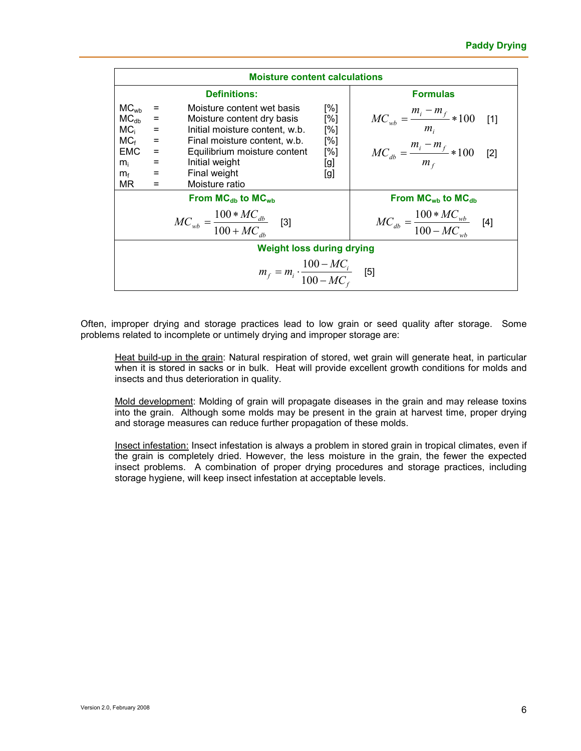|                                                                                                                                                                                                                                                                                                                                                                                                                                                         | <b>Moisture content calculations</b>                |                                                     |                                                                                                    |  |  |  |  |
|---------------------------------------------------------------------------------------------------------------------------------------------------------------------------------------------------------------------------------------------------------------------------------------------------------------------------------------------------------------------------------------------------------------------------------------------------------|-----------------------------------------------------|-----------------------------------------------------|----------------------------------------------------------------------------------------------------|--|--|--|--|
|                                                                                                                                                                                                                                                                                                                                                                                                                                                         | <b>Formulas</b>                                     |                                                     |                                                                                                    |  |  |  |  |
| MC <sub>wb</sub><br>Moisture content wet basis<br>[%]<br>MC <sub>db</sub><br>[%]<br>$\equiv$<br>Moisture content dry basis<br>MC <sub>i</sub><br>[%]<br>$=$<br>Initial moisture content, w.b.<br>$MC_f$<br>[%]<br>$\equiv$<br>Final moisture content, w.b.<br><b>EMC</b><br>[%]<br>Equilibrium moisture content<br>$\equiv$<br>Initial weight<br>[g]<br>$\equiv$<br>$m_{i}$<br>Final weight<br>$\equiv$<br>[g]<br>$m_f$<br>Moisture ratio<br>MR.<br>$=$ |                                                     |                                                     | $MC_{wb} = \frac{m_i - m_f}{m_i} * 100$<br>[1]<br>$MC_{db} = \frac{m_i - m_f}{m_f} * 100$<br>$[2]$ |  |  |  |  |
|                                                                                                                                                                                                                                                                                                                                                                                                                                                         |                                                     | From $MC_{db}$ to $MC_{wb}$                         | From $MCwb$ to $MCdb$                                                                              |  |  |  |  |
|                                                                                                                                                                                                                                                                                                                                                                                                                                                         |                                                     | $MC_{wb} = \frac{100 * MC_{db}}{100 + MC_{db}}$ [3] | $MC_{db} = \frac{100 * MC_{wb}}{100 - MC_{wb}}$                                                    |  |  |  |  |
|                                                                                                                                                                                                                                                                                                                                                                                                                                                         |                                                     | <b>Weight loss during drying</b>                    |                                                                                                    |  |  |  |  |
|                                                                                                                                                                                                                                                                                                                                                                                                                                                         | $m_f = m_i \cdot \frac{100 - MC_i}{100 - MC_c}$ [5] |                                                     |                                                                                                    |  |  |  |  |

Often, improper drying and storage practices lead to low grain or seed quality after storage. Some problems related to incomplete or untimely drying and improper storage are:

Heat build-up in the grain: Natural respiration of stored, wet grain will generate heat, in particular when it is stored in sacks or in bulk. Heat will provide excellent growth conditions for molds and insects and thus deterioration in quality.

Mold development: Molding of grain will propagate diseases in the grain and may release toxins into the grain. Although some molds may be present in the grain at harvest time, proper drying and storage measures can reduce further propagation of these molds.

Insect infestation: Insect infestation is always a problem in stored grain in tropical climates, even if the grain is completely dried. However, the less moisture in the grain, the fewer the expected insect problems. A combination of proper drying procedures and storage practices, including storage hygiene, will keep insect infestation at acceptable levels.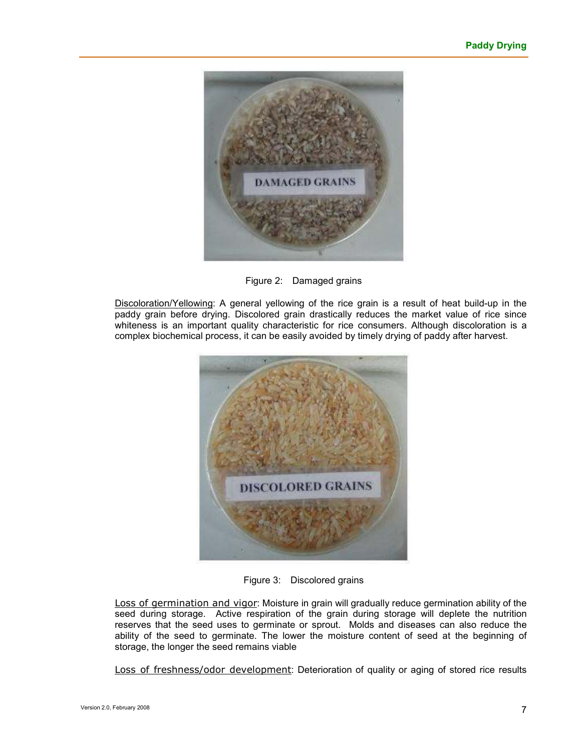

Figure 2: Damaged grains

Discoloration/Yellowing: A general yellowing of the rice grain is a result of heat build-up in the paddy grain before drying. Discolored grain drastically reduces the market value of rice since whiteness is an important quality characteristic for rice consumers. Although discoloration is a complex biochemical process, it can be easily avoided by timely drying of paddy after harvest.



Figure 3: Discolored grains

Loss of germination and vigor: Moisture in grain will gradually reduce germination ability of the seed during storage. Active respiration of the grain during storage will deplete the nutrition reserves that the seed uses to germinate or sprout. Molds and diseases can also reduce the ability of the seed to germinate. The lower the moisture content of seed at the beginning of storage, the longer the seed remains viable

Loss of freshness/odor development: Deterioration of quality or aging of stored rice results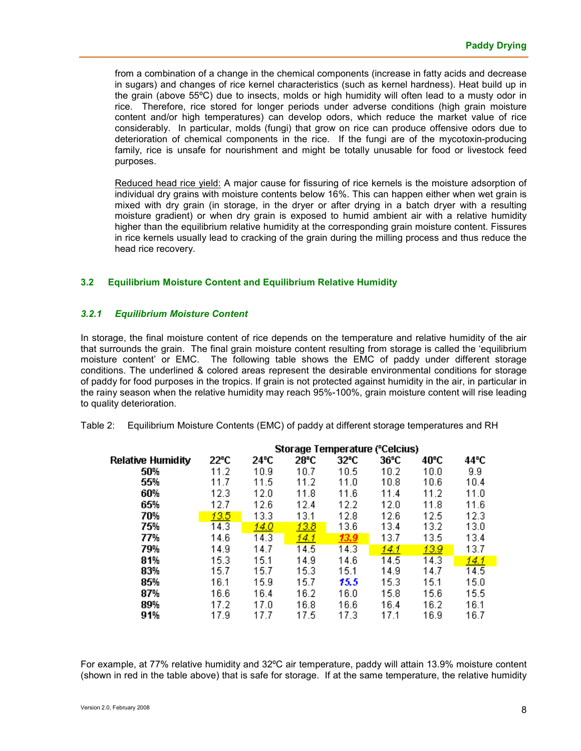from a combination of a change in the chemical components (increase in fatty acids and decrease in sugars) and changes of rice kernel characteristics (such as kernel hardness). Heat build up in the grain (above 55ºC) due to insects, molds or high humidity will often lead to a musty odor in rice. Therefore, rice stored for longer periods under adverse conditions (high grain moisture content and/or high temperatures) can develop odors, which reduce the market value of rice considerably. In particular, molds (fungi) that grow on rice can produce offensive odors due to deterioration of chemical components in the rice. If the fungi are of the mycotoxin-producing family, rice is unsafe for nourishment and might be totally unusable for food or livestock feed purposes.

Reduced head rice yield: A major cause for fissuring of rice kernels is the moisture adsorption of individual dry grains with moisture contents below 16%. This can happen either when wet grain is mixed with dry grain (in storage, in the dryer or after drying in a batch dryer with a resulting moisture gradient) or when dry grain is exposed to humid ambient air with a relative humidity higher than the equilibrium relative humidity at the corresponding grain moisture content. Fissures in rice kernels usually lead to cracking of the grain during the milling process and thus reduce the head rice recovery.

#### **3.2 Equilibrium Moisture Content and Equilibrium Relative Humidity**

#### *3.2.1 Equilibrium Moisture Content*

In storage, the final moisture content of rice depends on the temperature and relative humidity of the air that surrounds the grain. The final grain moisture content resulting from storage is called the 'equilibrium moisture content' or EMC. The following table shows the EMC of paddy under different storage conditions. The underlined & colored areas represent the desirable environmental conditions for storage of paddy for food purposes in the tropics. If grain is not protected against humidity in the air, in particular in the rainy season when the relative humidity may reach 95%-100%, grain moisture content will rise leading to quality deterioration.

|  | Table 2: Equilibrium Moisture Contents (EMC) of paddy at different storage temperatures and RH |  |  |  |  |
|--|------------------------------------------------------------------------------------------------|--|--|--|--|
|--|------------------------------------------------------------------------------------------------|--|--|--|--|

|                          | Storage Temperature ("Celcius) |      |      |                |      |      |              |
|--------------------------|--------------------------------|------|------|----------------|------|------|--------------|
| <b>Relative Humidity</b> | 22°C                           | 24°C | 28°C | $32^{\circ}$ C | 36°C | 40°C | 44°C         |
| 50%                      | 11.2                           | 10.9 | 10.7 | 10.5           | 10.2 | 10.0 | 9.9          |
| 55%                      | 11.7                           | 11.5 | 11.2 | 11.0           | 10.8 | 10.6 | 10.4         |
| 60%                      | 12.3                           | 12.0 | 11.8 | 11.6           | 11.4 | 11.2 | 11.0         |
| 65%                      | 12.7                           | 12.6 | 12.4 | 12.2           | 12.0 | 11.8 | 11.6         |
| 70%                      | 13.5                           | 13.3 | 13.1 | 12.8           | 12.6 | 12.5 | 12.3         |
| 75%                      | 14.3                           | 14.0 | 13.8 | 13.6           | 13.4 | 13.2 | 13.0         |
| 77%                      | 14.6                           | 14.3 | 14.1 | 13.9           | 13.7 | 13.5 | 13.4         |
| 79%                      | 14.9                           | 14.7 | 14.5 | 14.3           | 14.1 | 13.9 | 13.7         |
| 81%                      | 15.3                           | 15.1 | 14.9 | 14.6           | 14.5 | 14.3 | <u> 14.1</u> |
| 83%                      | 15.7                           | 15.7 | 15.3 | 15.1           | 14.9 | 14.7 | 14.5         |
| 85%                      | 16.1                           | 15.9 | 15.7 | 15.5           | 15.3 | 15.1 | 15.0         |
| 87%                      | 16.6                           | 16.4 | 16.2 | 16.0           | 15.8 | 15.6 | 15.5         |
| 89%                      | 17.2                           | 17.0 | 16.8 | 16.6           | 16.4 | 16.2 | 16.1         |
| 91%                      | 17.9                           | 17.7 | 17.5 | 17.3           | 17.1 | 16.9 | 16.7         |

For example, at 77% relative humidity and 32ºC air temperature, paddy will attain 13.9% moisture content (shown in red in the table above) that is safe for storage. If at the same temperature, the relative humidity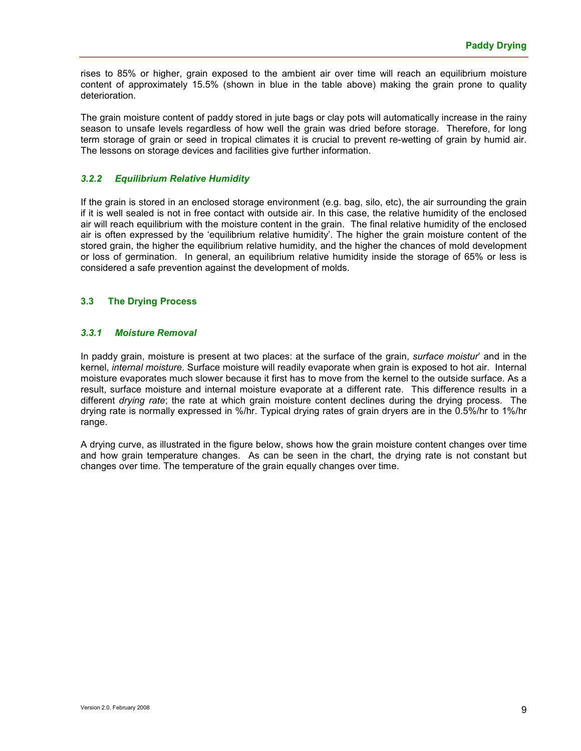rises to 85% or higher, grain exposed to the ambient air over time will reach an equilibrium moisture content of approximately 15.5% (shown in blue in the table above) making the grain prone to quality deterioration.

The grain moisture content of paddy stored in jute bags or clay pots will automatically increase in the rainy season to unsafe levels regardless of how well the grain was dried before storage. Therefore, for long term storage of grain or seed in tropical climates it is crucial to prevent re-wetting of grain by humid air. The lessons on storage devices and facilities give further information.

#### *3.2.2 Equilibrium Relative Humidity*

If the grain is stored in an enclosed storage environment (e.g. bag, silo, etc), the air surrounding the grain if it is well sealed is not in free contact with outside air. In this case, the relative humidity of the enclosed air will reach equilibrium with the moisture content in the grain. The final relative humidity of the enclosed air is often expressed by the 'equilibrium relative humidity'. The higher the grain moisture content of the stored grain, the higher the equilibrium relative humidity, and the higher the chances of mold development or loss of germination. In general, an equilibrium relative humidity inside the storage of 65% or less is considered a safe prevention against the development of molds.

#### **3.3 The Drying Process**

#### *3.3.1 Moisture Removal*

In paddy grain, moisture is present at two places: at the surface of the grain, *surface moistur*' and in the kernel, *internal moisture*. Surface moisture will readily evaporate when grain is exposed to hot air. Internal moisture evaporates much slower because it first has to move from the kernel to the outside surface. As a result, surface moisture and internal moisture evaporate at a different rate. This difference results in a different *drying rate*; the rate at which grain moisture content declines during the drying process. The drying rate is normally expressed in %/hr. Typical drying rates of grain dryers are in the 0.5%/hr to 1%/hr range.

A drying curve, as illustrated in the figure below, shows how the grain moisture content changes over time and how grain temperature changes. As can be seen in the chart, the drying rate is not constant but changes over time. The temperature of the grain equally changes over time.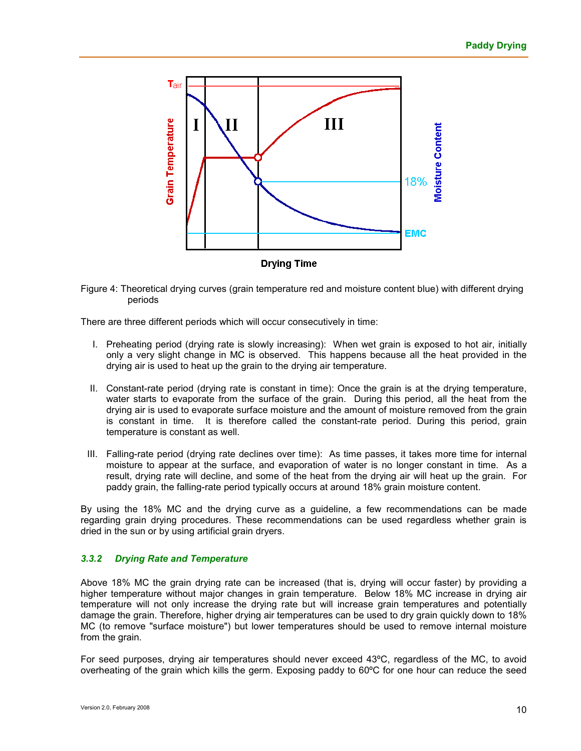

Figure 4: Theoretical drying curves (grain temperature red and moisture content blue) with different drying periods

There are three different periods which will occur consecutively in time:

- I. Preheating period (drying rate is slowly increasing): When wet grain is exposed to hot air, initially only a very slight change in MC is observed. This happens because all the heat provided in the drying air is used to heat up the grain to the drying air temperature.
- II. Constant-rate period (drying rate is constant in time): Once the grain is at the drying temperature, water starts to evaporate from the surface of the grain. During this period, all the heat from the drying air is used to evaporate surface moisture and the amount of moisture removed from the grain is constant in time. It is therefore called the constant-rate period. During this period, grain temperature is constant as well.
- III. Falling-rate period (drying rate declines over time): As time passes, it takes more time for internal moisture to appear at the surface, and evaporation of water is no longer constant in time. As a result, drying rate will decline, and some of the heat from the drying air will heat up the grain. For paddy grain, the falling-rate period typically occurs at around 18% grain moisture content.

By using the 18% MC and the drying curve as a guideline, a few recommendations can be made regarding grain drying procedures. These recommendations can be used regardless whether grain is dried in the sun or by using artificial grain dryers.

#### *3.3.2 Drying Rate and Temperature*

Above 18% MC the grain drying rate can be increased (that is, drying will occur faster) by providing a higher temperature without major changes in grain temperature. Below 18% MC increase in drying air temperature will not only increase the drying rate but will increase grain temperatures and potentially damage the grain. Therefore, higher drying air temperatures can be used to dry grain quickly down to 18% MC (to remove "surface moisture") but lower temperatures should be used to remove internal moisture from the grain.

For seed purposes, drying air temperatures should never exceed 43ºC, regardless of the MC, to avoid overheating of the grain which kills the germ. Exposing paddy to 60ºC for one hour can reduce the seed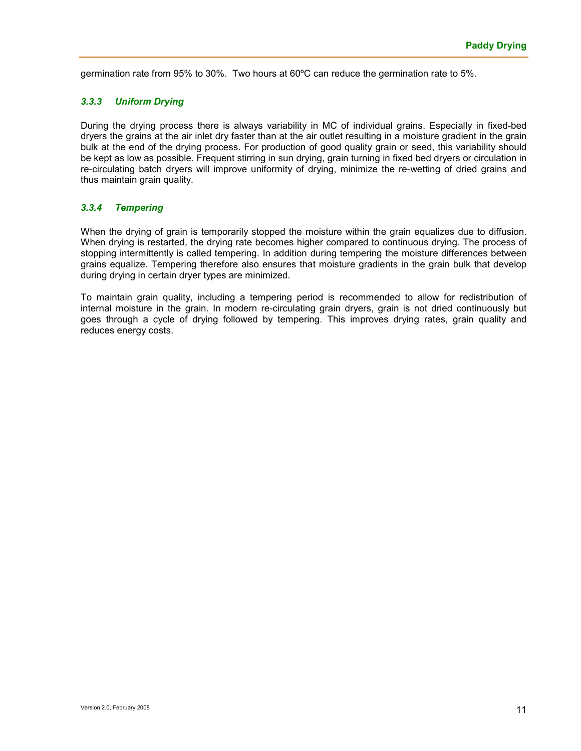germination rate from 95% to 30%. Two hours at 60ºC can reduce the germination rate to 5%.

#### *3.3.3 Uniform Drying*

During the drying process there is always variability in MC of individual grains. Especially in fixed-bed dryers the grains at the air inlet dry faster than at the air outlet resulting in a moisture gradient in the grain bulk at the end of the drying process. For production of good quality grain or seed, this variability should be kept as low as possible. Frequent stirring in sun drying, grain turning in fixed bed dryers or circulation in re-circulating batch dryers will improve uniformity of drying, minimize the re-wetting of dried grains and thus maintain grain quality.

#### *3.3.4 Tempering*

When the drying of grain is temporarily stopped the moisture within the grain equalizes due to diffusion. When drying is restarted, the drying rate becomes higher compared to continuous drying. The process of stopping intermittently is called tempering. In addition during tempering the moisture differences between grains equalize. Tempering therefore also ensures that moisture gradients in the grain bulk that develop during drying in certain dryer types are minimized.

To maintain grain quality, including a tempering period is recommended to allow for redistribution of internal moisture in the grain. In modern re-circulating grain dryers, grain is not dried continuously but goes through a cycle of drying followed by tempering. This improves drying rates, grain quality and reduces energy costs.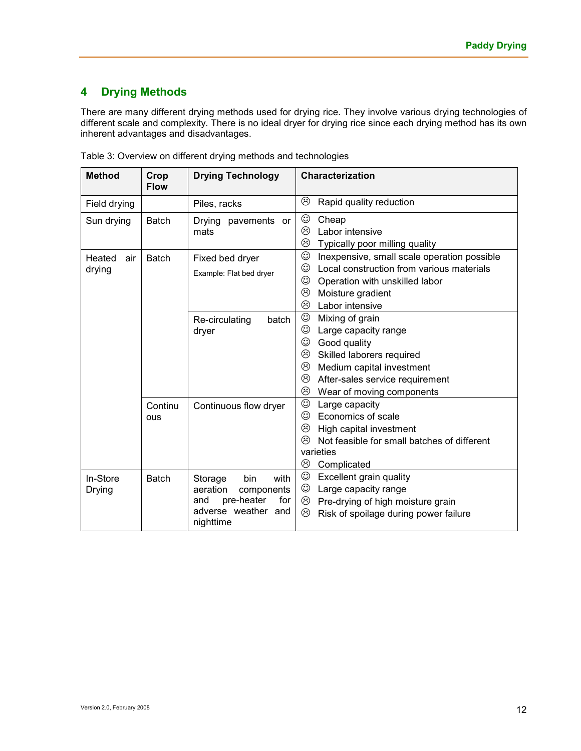# **4 Drying Methods**

There are many different drying methods used for drying rice. They involve various drying technologies of different scale and complexity. There is no ideal dryer for drying rice since each drying method has its own inherent advantages and disadvantages.

| <b>Method</b>           | Crop<br><b>Flow</b> | <b>Drying Technology</b>                                                                                         | Characterization                                                                                                                                                                                                           |  |
|-------------------------|---------------------|------------------------------------------------------------------------------------------------------------------|----------------------------------------------------------------------------------------------------------------------------------------------------------------------------------------------------------------------------|--|
| Field drying            |                     | Piles, racks                                                                                                     | ☺<br>Rapid quality reduction                                                                                                                                                                                               |  |
| Sun drying              | <b>Batch</b>        | Drying pavements or<br>mats                                                                                      | ☺<br>Cheap<br>☺<br>Labor intensive<br>☺<br>Typically poor milling quality                                                                                                                                                  |  |
| Heated<br>air<br>drying | <b>Batch</b>        | Fixed bed dryer<br>Example: Flat bed dryer                                                                       | $_{\odot}$<br>Inexpensive, small scale operation possible<br>☺<br>Local construction from various materials<br>$_{\odot}$<br>Operation with unskilled labor<br>☺<br>Moisture gradient<br>☺<br>Labor intensive              |  |
|                         |                     | Re-circulating<br>batch<br>dryer                                                                                 | $\odot$<br>Mixing of grain<br>☺<br>Large capacity range<br>☺<br>Good quality<br>☺<br>Skilled laborers required<br>☺<br>Medium capital investment<br>☺<br>After-sales service requirement<br>☺<br>Wear of moving components |  |
|                         | Continu<br>ous      | Continuous flow dryer                                                                                            | $\odot$<br>Large capacity<br>☺<br>Economics of scale<br>☺<br>High capital investment<br>☺<br>Not feasible for small batches of different<br>varieties<br>☺<br>Complicated                                                  |  |
| In-Store<br>Drying      | <b>Batch</b>        | bin<br>Storage<br>with<br>aeration<br>components<br>pre-heater<br>for<br>and<br>adverse weather and<br>nighttime | $_{\odot}$<br>Excellent grain quality<br>$_{\mathord{\odot}}$<br>Large capacity range<br>☺<br>Pre-drying of high moisture grain<br>☺<br>Risk of spoilage during power failure                                              |  |

|  | Table 3: Overview on different drying methods and technologies |  |
|--|----------------------------------------------------------------|--|
|  |                                                                |  |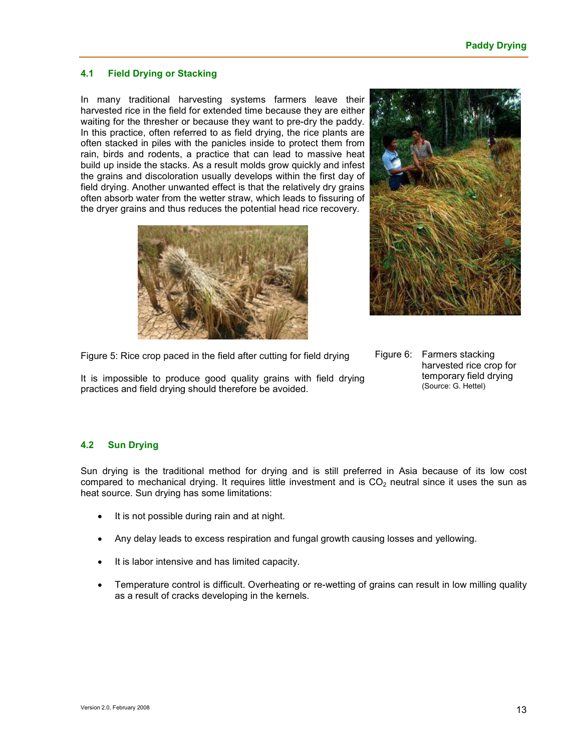#### **4.1 Field Drying or Stacking**

In many traditional harvesting systems farmers leave their harvested rice in the field for extended time because they are either waiting for the thresher or because they want to pre-dry the paddy. In this practice, often referred to as field drying, the rice plants are often stacked in piles with the panicles inside to protect them from rain, birds and rodents, a practice that can lead to massive heat build up inside the stacks. As a result molds grow quickly and infest the grains and discoloration usually develops within the first day of field drying. Another unwanted effect is that the relatively dry grains often absorb water from the wetter straw, which leads to fissuring of the dryer grains and thus reduces the potential head rice recovery.





Figure 5: Rice crop paced in the field after cutting for field drying

It is impossible to produce good quality grains with field drying practices and field drying should therefore be avoided.

Figure 6: Farmers stacking harvested rice crop for temporary field drying (Source: G. Hettel)

## **4.2 Sun Drying**

Sun drying is the traditional method for drying and is still preferred in Asia because of its low cost compared to mechanical drying. It requires little investment and is  $CO<sub>2</sub>$  neutral since it uses the sun as heat source. Sun drying has some limitations:

- It is not possible during rain and at night.
- Any delay leads to excess respiration and fungal growth causing losses and yellowing.
- It is labor intensive and has limited capacity.
- Temperature control is difficult. Overheating or re-wetting of grains can result in low milling quality as a result of cracks developing in the kernels.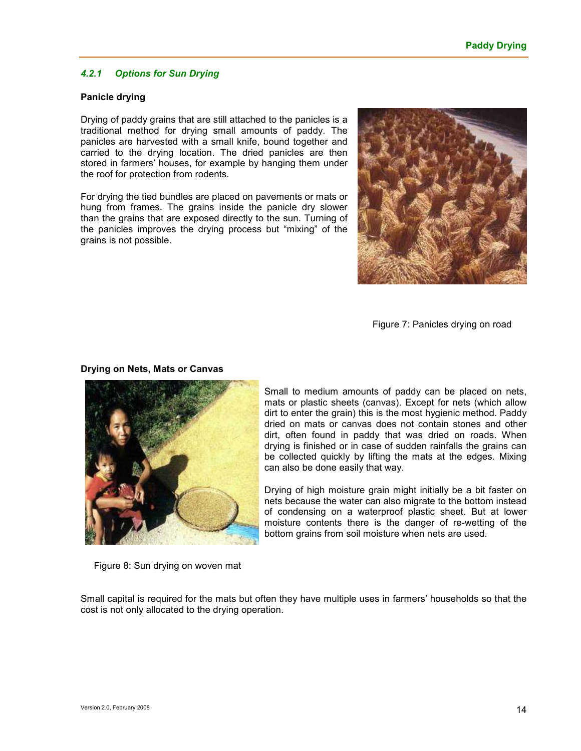#### *4.2.1 Options for Sun Drying*

#### **Panicle drying**

Drying of paddy grains that are still attached to the panicles is a traditional method for drying small amounts of paddy. The panicles are harvested with a small knife, bound together and carried to the drying location. The dried panicles are then stored in farmers' houses, for example by hanging them under the roof for protection from rodents.

For drying the tied bundles are placed on pavements or mats or hung from frames. The grains inside the panicle dry slower than the grains that are exposed directly to the sun. Turning of the panicles improves the drying process but "mixing" of the grains is not possible.



Figure 7: Panicles drying on road

#### **Drying on Nets, Mats or Canvas**



Small to medium amounts of paddy can be placed on nets, mats or plastic sheets (canvas). Except for nets (which allow dirt to enter the grain) this is the most hygienic method. Paddy dried on mats or canvas does not contain stones and other dirt, often found in paddy that was dried on roads. When drying is finished or in case of sudden rainfalls the grains can be collected quickly by lifting the mats at the edges. Mixing can also be done easily that way.

Drying of high moisture grain might initially be a bit faster on nets because the water can also migrate to the bottom instead of condensing on a waterproof plastic sheet. But at lower moisture contents there is the danger of re-wetting of the bottom grains from soil moisture when nets are used.

Figure 8: Sun drying on woven mat

Small capital is required for the mats but often they have multiple uses in farmers' households so that the cost is not only allocated to the drying operation.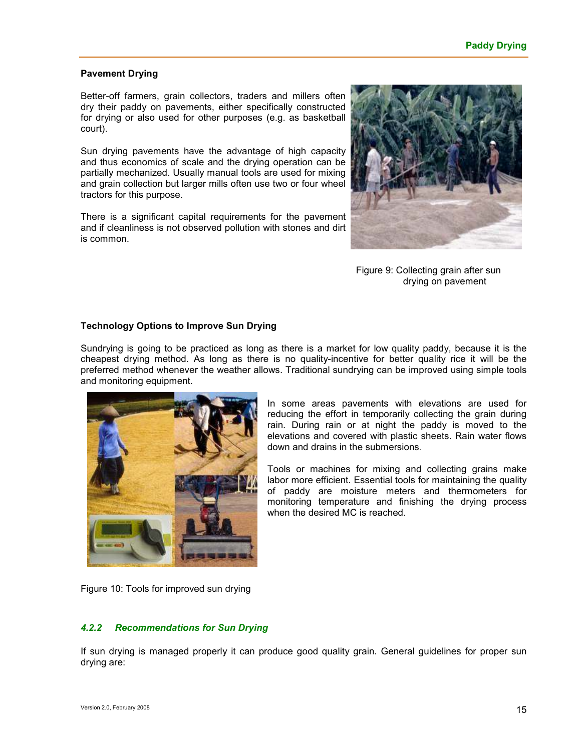#### **Pavement Drying**

Better-off farmers, grain collectors, traders and millers often dry their paddy on pavements, either specifically constructed for drying or also used for other purposes (e.g. as basketball court).

Sun drying pavements have the advantage of high capacity and thus economics of scale and the drying operation can be partially mechanized. Usually manual tools are used for mixing and grain collection but larger mills often use two or four wheel tractors for this purpose.

There is a significant capital requirements for the pavement and if cleanliness is not observed pollution with stones and dirt is common.



Figure 9: Collecting grain after sun drying on pavement

#### **Technology Options to Improve Sun Drying**

Sundrying is going to be practiced as long as there is a market for low quality paddy, because it is the cheapest drying method. As long as there is no quality-incentive for better quality rice it will be the preferred method whenever the weather allows. Traditional sundrying can be improved using simple tools and monitoring equipment.



In some areas pavements with elevations are used for reducing the effort in temporarily collecting the grain during rain. During rain or at night the paddy is moved to the elevations and covered with plastic sheets. Rain water flows down and drains in the submersions.

Tools or machines for mixing and collecting grains make labor more efficient. Essential tools for maintaining the quality of paddy are moisture meters and thermometers for monitoring temperature and finishing the drying process when the desired MC is reached.

Figure 10: Tools for improved sun drying

#### *4.2.2 Recommendations for Sun Drying*

If sun drying is managed properly it can produce good quality grain. General guidelines for proper sun drying are: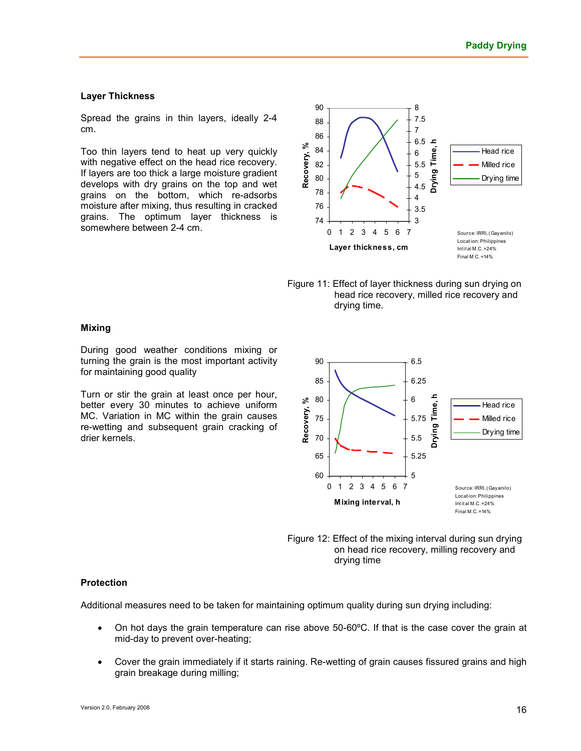#### **Layer Thickness**

Spread the grains in thin layers, ideally 2-4 cm.

Too thin layers tend to heat up very quickly with negative effect on the head rice recovery. If layers are too thick a large moisture gradient develops with dry grains on the top and wet grains on the bottom, which re-adsorbs moisture after mixing, thus resulting in cracked grains. The optimum layer thickness is somewhere between 2-4 cm.



Figure 11: Effect of layer thickness during sun drying on head rice recovery, milled rice recovery and drying time.

#### **Mixing**

During good weather conditions mixing or turning the grain is the most important activity for maintaining good quality

Turn or stir the grain at least once per hour, better every 30 minutes to achieve uniform MC. Variation in MC within the grain causes re-wetting and subsequent grain cracking of drier kernels.





#### **Protection**

Additional measures need to be taken for maintaining optimum quality during sun drying including:

- On hot days the grain temperature can rise above 50-60ºC. If that is the case cover the grain at mid-day to prevent over-heating;
- Cover the grain immediately if it starts raining. Re-wetting of grain causes fissured grains and high grain breakage during milling;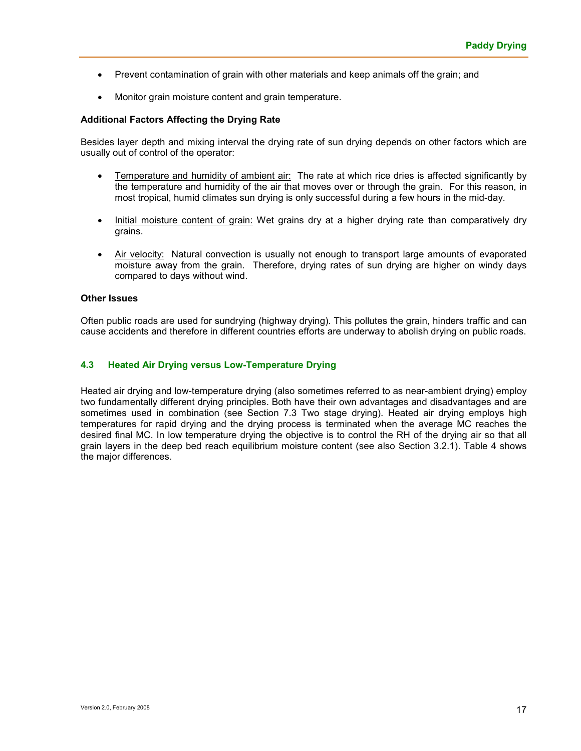- Prevent contamination of grain with other materials and keep animals off the grain; and
- Monitor grain moisture content and grain temperature.

#### **Additional Factors Affecting the Drying Rate**

Besides layer depth and mixing interval the drying rate of sun drying depends on other factors which are usually out of control of the operator:

- **Temperature and humidity of ambient air:** The rate at which rice dries is affected significantly by the temperature and humidity of the air that moves over or through the grain. For this reason, in most tropical, humid climates sun drying is only successful during a few hours in the mid-day.
- Initial moisture content of grain: Wet grains dry at a higher drying rate than comparatively dry grains.
- Air velocity: Natural convection is usually not enough to transport large amounts of evaporated moisture away from the grain. Therefore, drying rates of sun drying are higher on windy days compared to days without wind.

#### **Other Issues**

Often public roads are used for sundrying (highway drying). This pollutes the grain, hinders traffic and can cause accidents and therefore in different countries efforts are underway to abolish drying on public roads.

#### **4.3 Heated Air Drying versus Low-Temperature Drying**

Heated air drying and low-temperature drying (also sometimes referred to as near-ambient drying) employ two fundamentally different drying principles. Both have their own advantages and disadvantages and are sometimes used in combination (see Section 7.3 Two stage drying). Heated air drying employs high temperatures for rapid drying and the drying process is terminated when the average MC reaches the desired final MC. In low temperature drying the objective is to control the RH of the drying air so that all grain layers in the deep bed reach equilibrium moisture content (see also Section 3.2.1). Table 4 shows the major differences.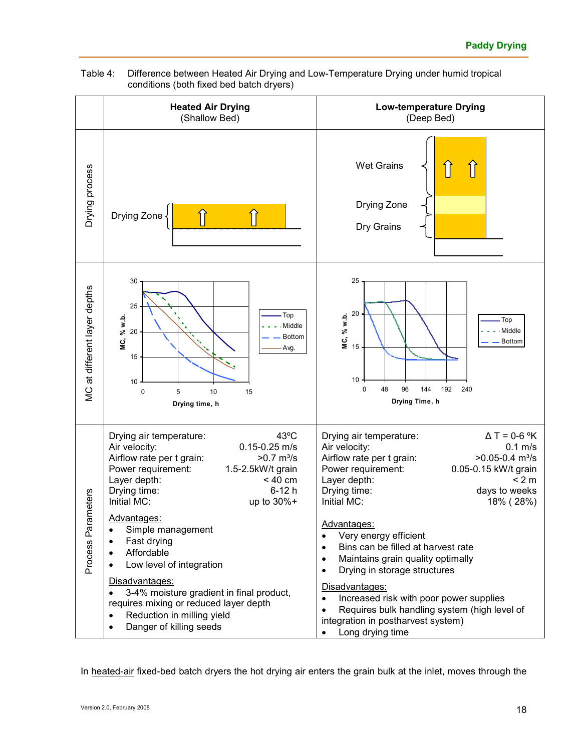

#### Table 4: Difference between Heated Air Drying and Low-Temperature Drying under humid tropical conditions (both fixed bed batch dryers)

In heated-air fixed-bed batch dryers the hot drying air enters the grain bulk at the inlet, moves through the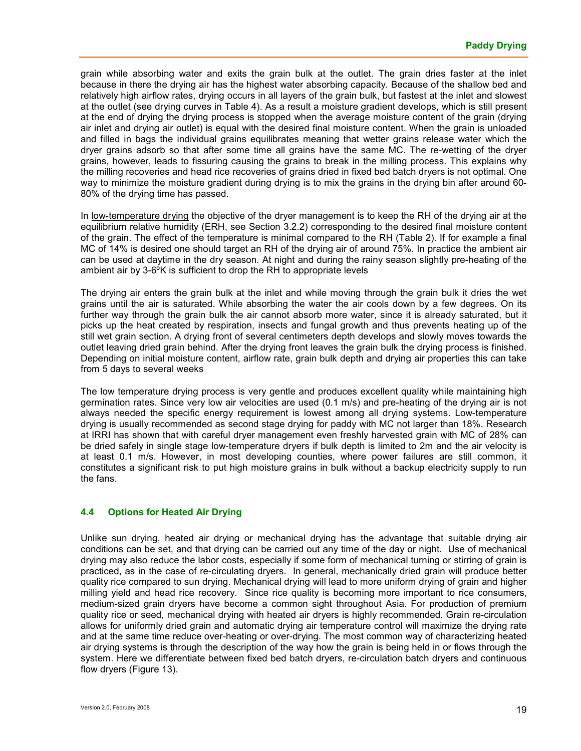grain while absorbing water and exits the grain bulk at the outlet. The grain dries faster at the inlet because in there the drying air has the highest water absorbing capacity. Because of the shallow bed and relatively high airflow rates, drying occurs in all layers of the grain bulk, but fastest at the inlet and slowest at the outlet (see drying curves in Table 4). As a result a moisture gradient develops, which is still present at the end of drying the drying process is stopped when the average moisture content of the grain (drying air inlet and drying air outlet) is equal with the desired final moisture content. When the grain is unloaded and filled in bags the individual grains equilibrates meaning that wetter grains release water which the dryer grains adsorb so that after some time all grains have the same MC. The re-wetting of the dryer grains, however, leads to fissuring causing the grains to break in the milling process. This explains why the milling recoveries and head rice recoveries of grains dried in fixed bed batch dryers is not optimal. One way to minimize the moisture gradient during drying is to mix the grains in the drying bin after around 60- 80% of the drying time has passed.

In low-temperature drying the objective of the dryer management is to keep the RH of the drying air at the equilibrium relative humidity (ERH, see Section 3.2.2) corresponding to the desired final moisture content of the grain. The effect of the temperature is minimal compared to the RH (Table 2). If for example a final MC of 14% is desired one should target an RH of the drying air of around 75%. In practice the ambient air can be used at daytime in the dry season. At night and during the rainy season slightly pre-heating of the ambient air by 3-6ºK is sufficient to drop the RH to appropriate levels

The drying air enters the grain bulk at the inlet and while moving through the grain bulk it dries the wet grains until the air is saturated. While absorbing the water the air cools down by a few degrees. On its further way through the grain bulk the air cannot absorb more water, since it is already saturated, but it picks up the heat created by respiration, insects and fungal growth and thus prevents heating up of the still wet grain section. A drying front of several centimeters depth develops and slowly moves towards the outlet leaving dried grain behind. After the drying front leaves the grain bulk the drying process is finished. Depending on initial moisture content, airflow rate, grain bulk depth and drying air properties this can take from 5 days to several weeks

The low temperature drying process is very gentle and produces excellent quality while maintaining high germination rates. Since very low air velocities are used (0.1 m/s) and pre-heating of the drying air is not always needed the specific energy requirement is lowest among all drying systems. Low-temperature drying is usually recommended as second stage drying for paddy with MC not larger than 18%. Research at IRRI has shown that with careful dryer management even freshly harvested grain with MC of 28% can be dried safely in single stage low-temperature dryers if bulk depth is limited to 2m and the air velocity is at least 0.1 m/s. However, in most developing counties, where power failures are still common, it constitutes a significant risk to put high moisture grains in bulk without a backup electricity supply to run the fans.

#### **4.4 Options for Heated Air Drying**

Unlike sun drying, heated air drying or mechanical drying has the advantage that suitable drying air conditions can be set, and that drying can be carried out any time of the day or night. Use of mechanical drying may also reduce the labor costs, especially if some form of mechanical turning or stirring of grain is practiced, as in the case of re-circulating dryers. In general, mechanically dried grain will produce better quality rice compared to sun drying. Mechanical drying will lead to more uniform drying of grain and higher milling yield and head rice recovery. Since rice quality is becoming more important to rice consumers, medium-sized grain dryers have become a common sight throughout Asia. For production of premium quality rice or seed, mechanical drying with heated air dryers is highly recommended. Grain re-circulation allows for uniformly dried grain and automatic drying air temperature control will maximize the drying rate and at the same time reduce over-heating or over-drying. The most common way of characterizing heated air drying systems is through the description of the way how the grain is being held in or flows through the system. Here we differentiate between fixed bed batch dryers, re-circulation batch dryers and continuous flow dryers (Figure 13).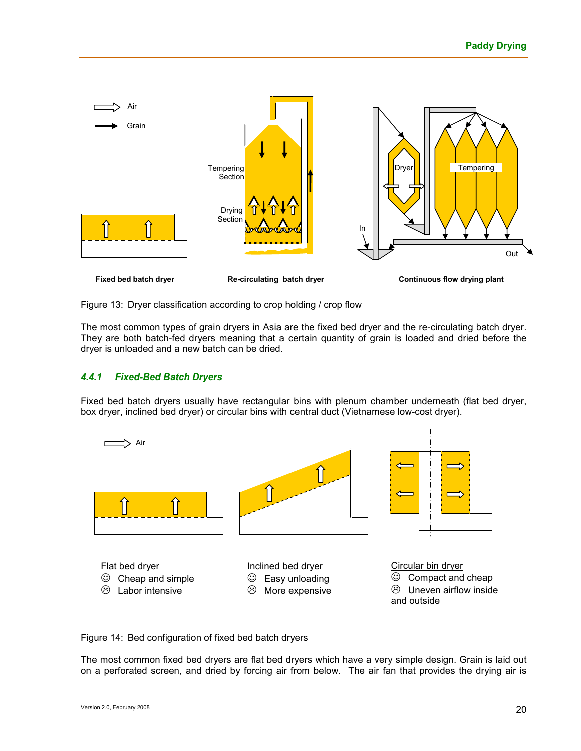

Figure 13: Dryer classification according to crop holding / crop flow

The most common types of grain dryers in Asia are the fixed bed dryer and the re-circulating batch dryer. They are both batch-fed dryers meaning that a certain quantity of grain is loaded and dried before the dryer is unloaded and a new batch can be dried.

#### *4.4.1 Fixed-Bed Batch Dryers*

Fixed bed batch dryers usually have rectangular bins with plenum chamber underneath (flat bed dryer, box dryer, inclined bed dryer) or circular bins with central duct (Vietnamese low-cost dryer).



Figure 14: Bed configuration of fixed bed batch dryers

The most common fixed bed dryers are flat bed dryers which have a very simple design. Grain is laid out on a perforated screen, and dried by forcing air from below. The air fan that provides the drying air is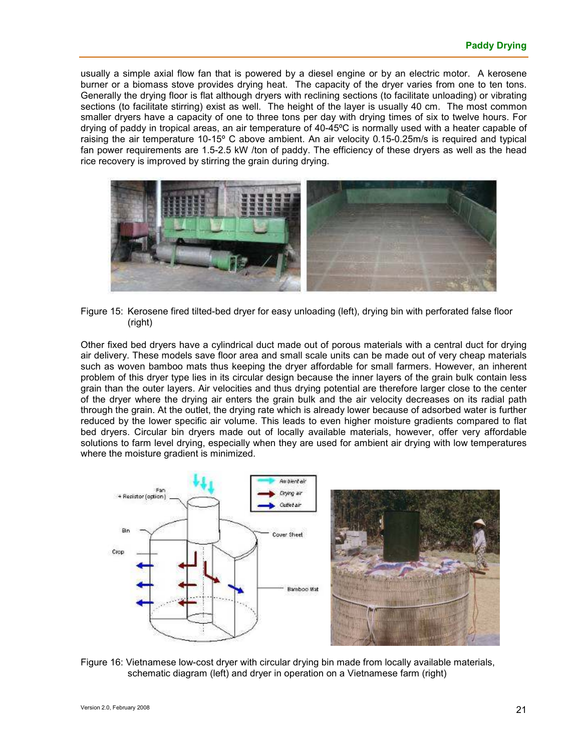usually a simple axial flow fan that is powered by a diesel engine or by an electric motor. A kerosene burner or a biomass stove provides drying heat. The capacity of the dryer varies from one to ten tons. Generally the drying floor is flat although dryers with reclining sections (to facilitate unloading) or vibrating sections (to facilitate stirring) exist as well. The height of the layer is usually 40 cm. The most common smaller dryers have a capacity of one to three tons per day with drying times of six to twelve hours. For drying of paddy in tropical areas, an air temperature of 40-45ºC is normally used with a heater capable of raising the air temperature 10-15º C above ambient. An air velocity 0.15-0.25m/s is required and typical fan power requirements are 1.5-2.5 kW /ton of paddy. The efficiency of these dryers as well as the head rice recovery is improved by stirring the grain during drying.



Figure 15: Kerosene fired tilted-bed dryer for easy unloading (left), drying bin with perforated false floor (right)

Other fixed bed dryers have a cylindrical duct made out of porous materials with a central duct for drying air delivery. These models save floor area and small scale units can be made out of very cheap materials such as woven bamboo mats thus keeping the dryer affordable for small farmers. However, an inherent problem of this dryer type lies in its circular design because the inner layers of the grain bulk contain less grain than the outer layers. Air velocities and thus drying potential are therefore larger close to the center of the dryer where the drying air enters the grain bulk and the air velocity decreases on its radial path through the grain. At the outlet, the drying rate which is already lower because of adsorbed water is further reduced by the lower specific air volume. This leads to even higher moisture gradients compared to flat bed dryers. Circular bin dryers made out of locally available materials, however, offer very affordable solutions to farm level drying, especially when they are used for ambient air drying with low temperatures where the moisture gradient is minimized.





Figure 16: Vietnamese low-cost dryer with circular drying bin made from locally available materials, schematic diagram (left) and dryer in operation on a Vietnamese farm (right)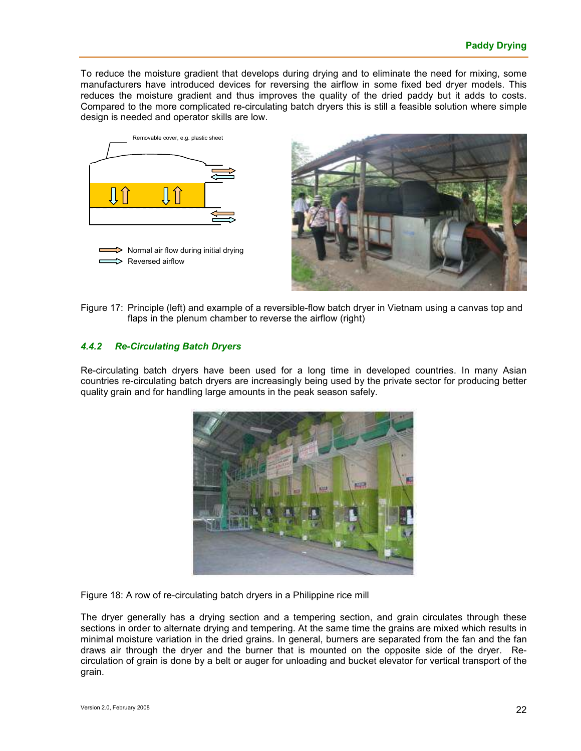To reduce the moisture gradient that develops during drying and to eliminate the need for mixing, some manufacturers have introduced devices for reversing the airflow in some fixed bed dryer models. This reduces the moisture gradient and thus improves the quality of the dried paddy but it adds to costs. Compared to the more complicated re-circulating batch dryers this is still a feasible solution where simple design is needed and operator skills are low.





Figure 17: Principle (left) and example of a reversible-flow batch dryer in Vietnam using a canvas top and flaps in the plenum chamber to reverse the airflow (right)

#### *4.4.2 Re-Circulating Batch Dryers*

Re-circulating batch dryers have been used for a long time in developed countries. In many Asian countries re-circulating batch dryers are increasingly being used by the private sector for producing better quality grain and for handling large amounts in the peak season safely.



Figure 18: A row of re-circulating batch dryers in a Philippine rice mill

The dryer generally has a drying section and a tempering section, and grain circulates through these sections in order to alternate drying and tempering. At the same time the grains are mixed which results in minimal moisture variation in the dried grains. In general, burners are separated from the fan and the fan draws air through the dryer and the burner that is mounted on the opposite side of the dryer. Recirculation of grain is done by a belt or auger for unloading and bucket elevator for vertical transport of the grain.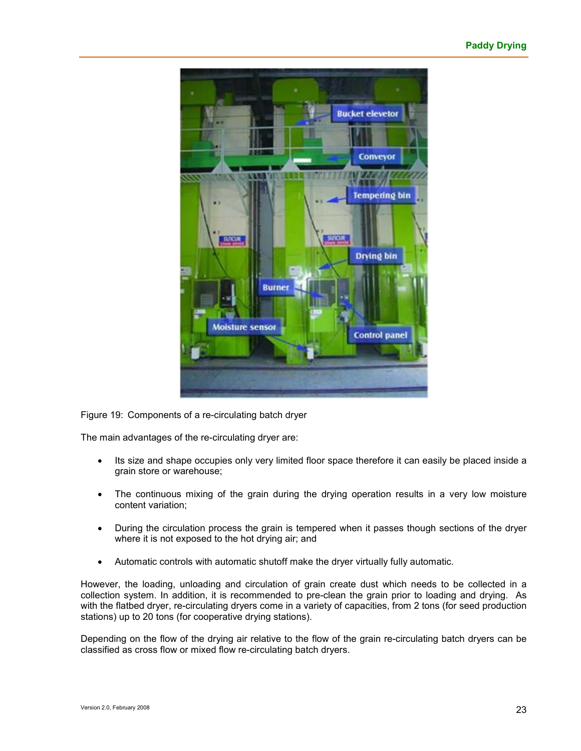

Figure 19: Components of a re-circulating batch dryer

The main advantages of the re-circulating dryer are:

- Its size and shape occupies only very limited floor space therefore it can easily be placed inside a grain store or warehouse;
- The continuous mixing of the grain during the drying operation results in a very low moisture content variation;
- During the circulation process the grain is tempered when it passes though sections of the dryer where it is not exposed to the hot drying air; and
- Automatic controls with automatic shutoff make the dryer virtually fully automatic.

However, the loading, unloading and circulation of grain create dust which needs to be collected in a collection system. In addition, it is recommended to pre-clean the grain prior to loading and drying. As with the flatbed dryer, re-circulating dryers come in a variety of capacities, from 2 tons (for seed production stations) up to 20 tons (for cooperative drying stations).

Depending on the flow of the drying air relative to the flow of the grain re-circulating batch dryers can be classified as cross flow or mixed flow re-circulating batch dryers.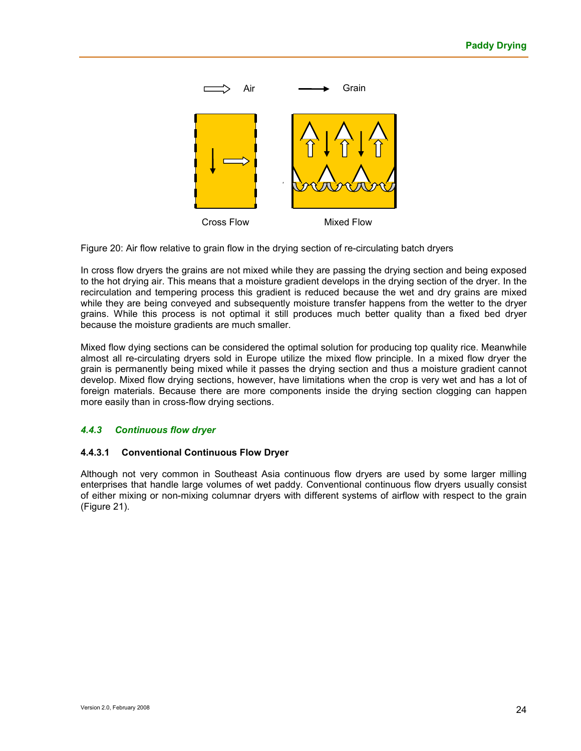

Figure 20: Air flow relative to grain flow in the drying section of re-circulating batch dryers

In cross flow dryers the grains are not mixed while they are passing the drying section and being exposed to the hot drying air. This means that a moisture gradient develops in the drying section of the dryer. In the recirculation and tempering process this gradient is reduced because the wet and dry grains are mixed while they are being conveyed and subsequently moisture transfer happens from the wetter to the dryer grains. While this process is not optimal it still produces much better quality than a fixed bed dryer because the moisture gradients are much smaller.

Mixed flow dying sections can be considered the optimal solution for producing top quality rice. Meanwhile almost all re-circulating dryers sold in Europe utilize the mixed flow principle. In a mixed flow dryer the grain is permanently being mixed while it passes the drying section and thus a moisture gradient cannot develop. Mixed flow drying sections, however, have limitations when the crop is very wet and has a lot of foreign materials. Because there are more components inside the drying section clogging can happen more easily than in cross-flow drying sections.

#### *4.4.3 Continuous flow dryer*

#### **4.4.3.1 Conventional Continuous Flow Dryer**

Although not very common in Southeast Asia continuous flow dryers are used by some larger milling enterprises that handle large volumes of wet paddy. Conventional continuous flow dryers usually consist of either mixing or non-mixing columnar dryers with different systems of airflow with respect to the grain (Figure 21).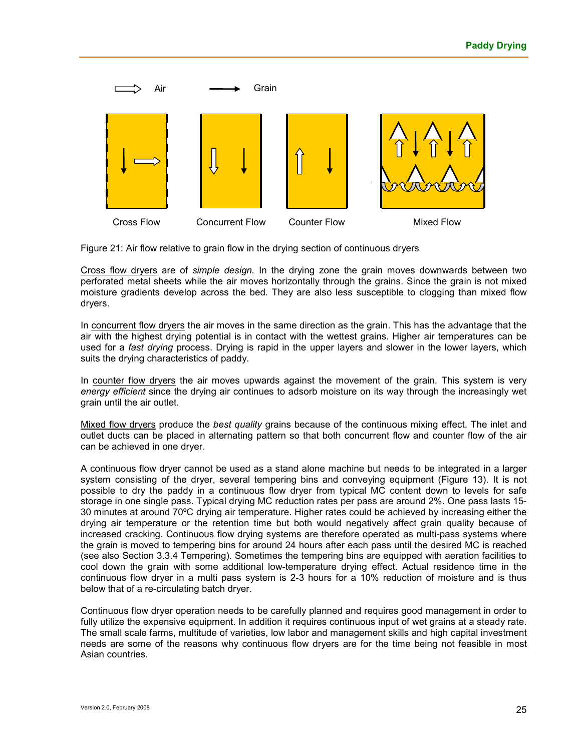

Figure 21: Air flow relative to grain flow in the drying section of continuous dryers

Cross flow dryers are of *simple design.* In the drying zone the grain moves downwards between two perforated metal sheets while the air moves horizontally through the grains. Since the grain is not mixed moisture gradients develop across the bed. They are also less susceptible to clogging than mixed flow dryers.

In concurrent flow dryers the air moves in the same direction as the grain. This has the advantage that the air with the highest drying potential is in contact with the wettest grains. Higher air temperatures can be used for a *fast drying* process. Drying is rapid in the upper layers and slower in the lower layers, which suits the drying characteristics of paddy.

In counter flow dryers the air moves upwards against the movement of the grain. This system is very *energy efficient* since the drying air continues to adsorb moisture on its way through the increasingly wet grain until the air outlet.

Mixed flow dryers produce the *best quality* grains because of the continuous mixing effect. The inlet and outlet ducts can be placed in alternating pattern so that both concurrent flow and counter flow of the air can be achieved in one dryer.

A continuous flow dryer cannot be used as a stand alone machine but needs to be integrated in a larger system consisting of the dryer, several tempering bins and conveying equipment (Figure 13). It is not possible to dry the paddy in a continuous flow dryer from typical MC content down to levels for safe storage in one single pass. Typical drying MC reduction rates per pass are around 2%. One pass lasts 15- 30 minutes at around 70ºC drying air temperature. Higher rates could be achieved by increasing either the drying air temperature or the retention time but both would negatively affect grain quality because of increased cracking. Continuous flow drying systems are therefore operated as multi-pass systems where the grain is moved to tempering bins for around 24 hours after each pass until the desired MC is reached (see also Section 3.3.4 Tempering). Sometimes the tempering bins are equipped with aeration facilities to cool down the grain with some additional low-temperature drying effect. Actual residence time in the continuous flow dryer in a multi pass system is 2-3 hours for a 10% reduction of moisture and is thus below that of a re-circulating batch dryer.

Continuous flow dryer operation needs to be carefully planned and requires good management in order to fully utilize the expensive equipment. In addition it requires continuous input of wet grains at a steady rate. The small scale farms, multitude of varieties, low labor and management skills and high capital investment needs are some of the reasons why continuous flow dryers are for the time being not feasible in most Asian countries.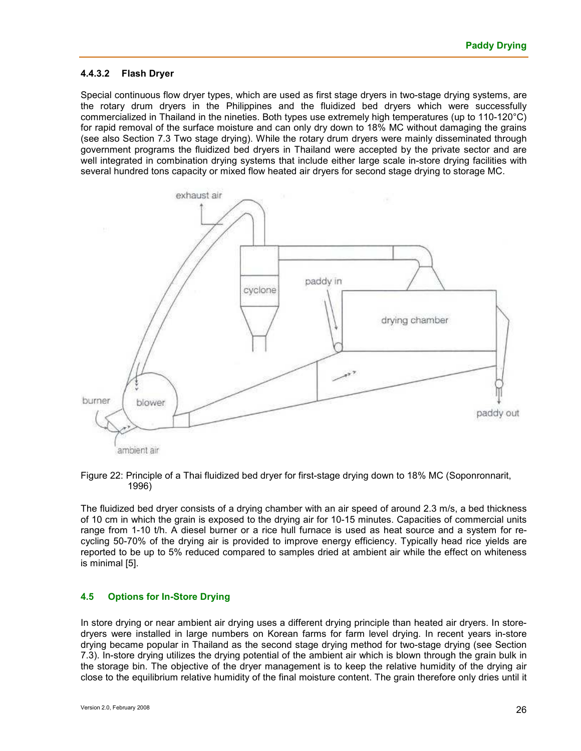#### **4.4.3.2 Flash Dryer**

Special continuous flow dryer types, which are used as first stage dryers in two-stage drying systems, are the rotary drum dryers in the Philippines and the fluidized bed dryers which were successfully commercialized in Thailand in the nineties. Both types use extremely high temperatures (up to 110-120°C) for rapid removal of the surface moisture and can only dry down to 18% MC without damaging the grains (see also Section 7.3 Two stage drying). While the rotary drum dryers were mainly disseminated through government programs the fluidized bed dryers in Thailand were accepted by the private sector and are well integrated in combination drying systems that include either large scale in-store drying facilities with several hundred tons capacity or mixed flow heated air dryers for second stage drying to storage MC.



#### Figure 22: Principle of a Thai fluidized bed dryer for first-stage drying down to 18% MC (Soponronnarit, 1996)

The fluidized bed dryer consists of a drying chamber with an air speed of around 2.3 m/s, a bed thickness of 10 cm in which the grain is exposed to the drying air for 10-15 minutes. Capacities of commercial units range from 1-10 t/h. A diesel burner or a rice hull furnace is used as heat source and a system for recycling 50-70% of the drying air is provided to improve energy efficiency. Typically head rice yields are reported to be up to 5% reduced compared to samples dried at ambient air while the effect on whiteness is minimal [5].

#### **4.5 Options for In-Store Drying**

In store drying or near ambient air drying uses a different drying principle than heated air dryers. In storedryers were installed in large numbers on Korean farms for farm level drying. In recent years in-store drying became popular in Thailand as the second stage drying method for two-stage drying (see Section 7.3). In-store drying utilizes the drying potential of the ambient air which is blown through the grain bulk in the storage bin. The objective of the dryer management is to keep the relative humidity of the drying air close to the equilibrium relative humidity of the final moisture content. The grain therefore only dries until it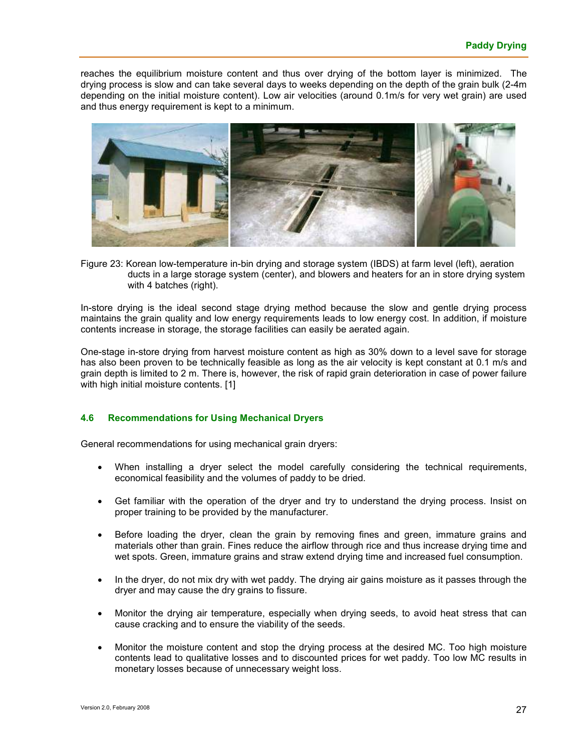reaches the equilibrium moisture content and thus over drying of the bottom layer is minimized. The drying process is slow and can take several days to weeks depending on the depth of the grain bulk (2-4m depending on the initial moisture content). Low air velocities (around 0.1m/s for very wet grain) are used and thus energy requirement is kept to a minimum.



Figure 23: Korean low-temperature in-bin drying and storage system (IBDS) at farm level (left), aeration ducts in a large storage system (center), and blowers and heaters for an in store drying system with 4 batches (right).

In-store drying is the ideal second stage drying method because the slow and gentle drying process maintains the grain quality and low energy requirements leads to low energy cost. In addition, if moisture contents increase in storage, the storage facilities can easily be aerated again.

One-stage in-store drying from harvest moisture content as high as 30% down to a level save for storage has also been proven to be technically feasible as long as the air velocity is kept constant at 0.1 m/s and grain depth is limited to 2 m. There is, however, the risk of rapid grain deterioration in case of power failure with high initial moisture contents. [1]

#### **4.6 Recommendations for Using Mechanical Dryers**

General recommendations for using mechanical grain dryers:

- When installing a dryer select the model carefully considering the technical requirements, economical feasibility and the volumes of paddy to be dried.
- Get familiar with the operation of the dryer and try to understand the drying process. Insist on proper training to be provided by the manufacturer.
- Before loading the dryer, clean the grain by removing fines and green, immature grains and materials other than grain. Fines reduce the airflow through rice and thus increase drying time and wet spots. Green, immature grains and straw extend drying time and increased fuel consumption.
- In the dryer, do not mix dry with wet paddy. The drying air gains moisture as it passes through the dryer and may cause the dry grains to fissure.
- Monitor the drying air temperature, especially when drying seeds, to avoid heat stress that can cause cracking and to ensure the viability of the seeds.
- Monitor the moisture content and stop the drying process at the desired MC. Too high moisture contents lead to qualitative losses and to discounted prices for wet paddy. Too low MC results in monetary losses because of unnecessary weight loss.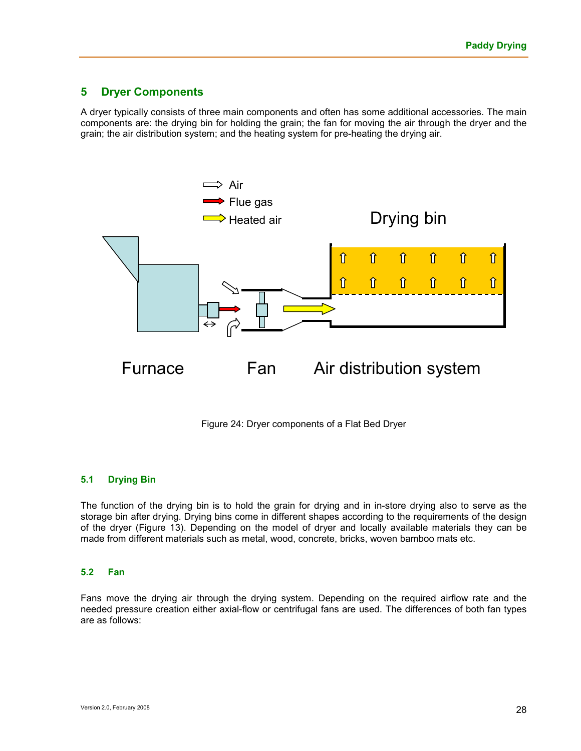## **5 Dryer Components**

A dryer typically consists of three main components and often has some additional accessories. The main components are: the drying bin for holding the grain; the fan for moving the air through the dryer and the grain; the air distribution system; and the heating system for pre-heating the drying air.



Figure 24: Dryer components of a Flat Bed Dryer

#### **5.1 Drying Bin**

The function of the drying bin is to hold the grain for drying and in in-store drying also to serve as the storage bin after drying. Drying bins come in different shapes according to the requirements of the design of the dryer (Figure 13). Depending on the model of dryer and locally available materials they can be made from different materials such as metal, wood, concrete, bricks, woven bamboo mats etc.

#### **5.2 Fan**

Fans move the drying air through the drying system. Depending on the required airflow rate and the needed pressure creation either axial-flow or centrifugal fans are used. The differences of both fan types are as follows: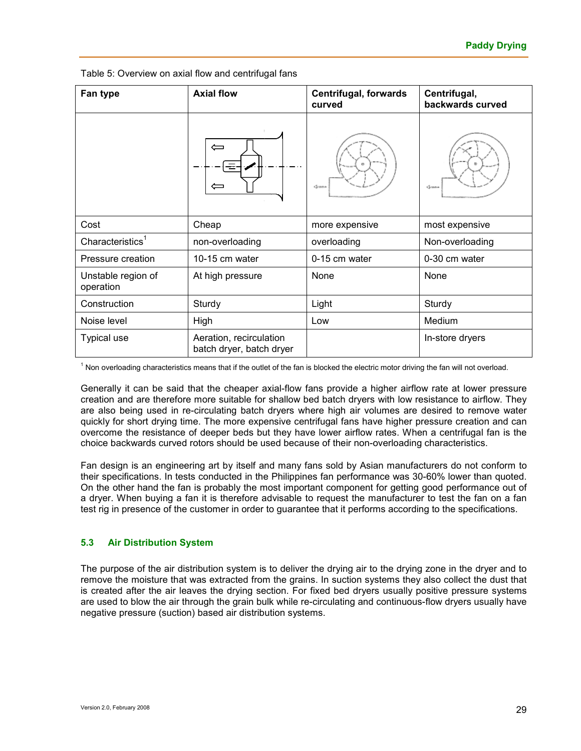| Fan type                        | <b>Axial flow</b>                                   | <b>Centrifugal, forwards</b><br>curved | Centrifugal,<br>backwards curved |  |
|---------------------------------|-----------------------------------------------------|----------------------------------------|----------------------------------|--|
|                                 | $\Leftarrow$                                        | <b>Grana</b>                           | <b>Green</b>                     |  |
| Cost                            | Cheap                                               | more expensive                         | most expensive                   |  |
| Characteristics <sup>1</sup>    | non-overloading                                     | overloading                            | Non-overloading                  |  |
| Pressure creation               | 10-15 cm water                                      | 0-15 cm water                          | 0-30 cm water                    |  |
| Unstable region of<br>operation | At high pressure                                    | None                                   | None                             |  |
| Construction                    | Sturdy                                              | Light                                  | Sturdy                           |  |
| Noise level                     | High                                                | Low                                    | Medium                           |  |
| <b>Typical use</b>              | Aeration, recirculation<br>batch dryer, batch dryer |                                        | In-store dryers                  |  |

Table 5: Overview on axial flow and centrifugal fans

<sup>1</sup> Non overloading characteristics means that if the outlet of the fan is blocked the electric motor driving the fan will not overload.

Generally it can be said that the cheaper axial-flow fans provide a higher airflow rate at lower pressure creation and are therefore more suitable for shallow bed batch dryers with low resistance to airflow. They are also being used in re-circulating batch dryers where high air volumes are desired to remove water quickly for short drying time. The more expensive centrifugal fans have higher pressure creation and can overcome the resistance of deeper beds but they have lower airflow rates. When a centrifugal fan is the choice backwards curved rotors should be used because of their non-overloading characteristics.

Fan design is an engineering art by itself and many fans sold by Asian manufacturers do not conform to their specifications. In tests conducted in the Philippines fan performance was 30-60% lower than quoted. On the other hand the fan is probably the most important component for getting good performance out of a dryer. When buying a fan it is therefore advisable to request the manufacturer to test the fan on a fan test rig in presence of the customer in order to guarantee that it performs according to the specifications.

#### **5.3 Air Distribution System**

The purpose of the air distribution system is to deliver the drying air to the drying zone in the dryer and to remove the moisture that was extracted from the grains. In suction systems they also collect the dust that is created after the air leaves the drying section. For fixed bed dryers usually positive pressure systems are used to blow the air through the grain bulk while re-circulating and continuous-flow dryers usually have negative pressure (suction) based air distribution systems.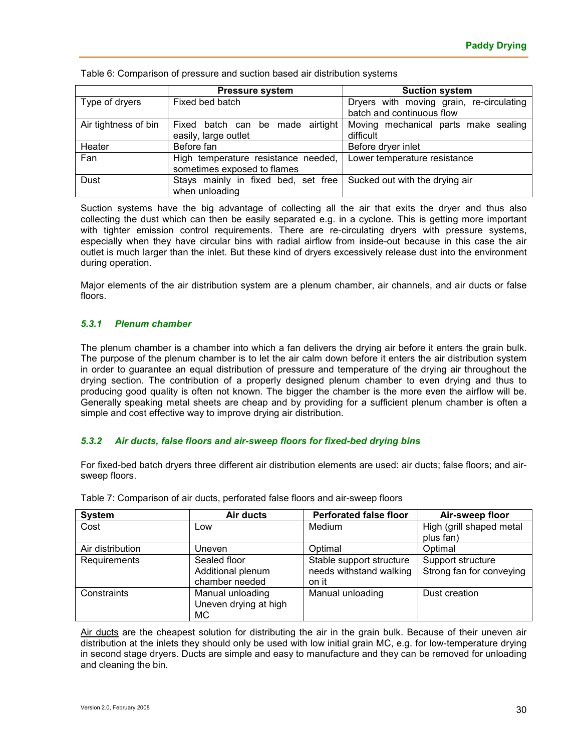Table 6: Comparison of pressure and suction based air distribution systems

|                      | <b>Pressure system</b>                                             | <b>Suction system</b>                                                 |  |  |
|----------------------|--------------------------------------------------------------------|-----------------------------------------------------------------------|--|--|
| Type of dryers       | Fixed bed batch                                                    | Dryers with moving grain, re-circulating<br>batch and continuous flow |  |  |
| Air tightness of bin | Fixed batch can be made airtight<br>easily, large outlet           | Moving mechanical parts make sealing<br>difficult                     |  |  |
| Heater               | Before fan                                                         | Before dryer inlet                                                    |  |  |
| Fan                  | High temperature resistance needed,<br>sometimes exposed to flames | Lower temperature resistance                                          |  |  |
| Dust                 | Stays mainly in fixed bed, set free<br>when unloading              | Sucked out with the drying air                                        |  |  |

Suction systems have the big advantage of collecting all the air that exits the dryer and thus also collecting the dust which can then be easily separated e.g. in a cyclone. This is getting more important with tighter emission control requirements. There are re-circulating dryers with pressure systems, especially when they have circular bins with radial airflow from inside-out because in this case the air outlet is much larger than the inlet. But these kind of dryers excessively release dust into the environment during operation.

Major elements of the air distribution system are a plenum chamber, air channels, and air ducts or false floors.

#### *5.3.1 Plenum chamber*

The plenum chamber is a chamber into which a fan delivers the drying air before it enters the grain bulk. The purpose of the plenum chamber is to let the air calm down before it enters the air distribution system in order to guarantee an equal distribution of pressure and temperature of the drying air throughout the drying section. The contribution of a properly designed plenum chamber to even drying and thus to producing good quality is often not known. The bigger the chamber is the more even the airflow will be. Generally speaking metal sheets are cheap and by providing for a sufficient plenum chamber is often a simple and cost effective way to improve drying air distribution.

#### *5.3.2 Air ducts, false floors and air-sweep floors for fixed-bed drying bins*

For fixed-bed batch dryers three different air distribution elements are used: air ducts; false floors; and airsweep floors.

| <b>System</b>    | Air ducts             | <b>Perforated false floor</b> | Air-sweep floor          |
|------------------|-----------------------|-------------------------------|--------------------------|
| Cost             | Low                   | Medium                        | High (grill shaped metal |
|                  |                       |                               | plus fan)                |
| Air distribution | Uneven                | Optimal                       | Optimal                  |
| Requirements     | Sealed floor          | Stable support structure      | Support structure        |
|                  | Additional plenum     | needs withstand walking       | Strong fan for conveying |
|                  | chamber needed        | on it                         |                          |
| Constraints      | Manual unloading      | Manual unloading              | Dust creation            |
|                  | Uneven drying at high |                               |                          |
|                  | МC                    |                               |                          |

Table 7: Comparison of air ducts, perforated false floors and air-sweep floors

Air ducts are the cheapest solution for distributing the air in the grain bulk. Because of their uneven air distribution at the inlets they should only be used with low initial grain MC, e.g. for low-temperature drying in second stage dryers. Ducts are simple and easy to manufacture and they can be removed for unloading and cleaning the bin.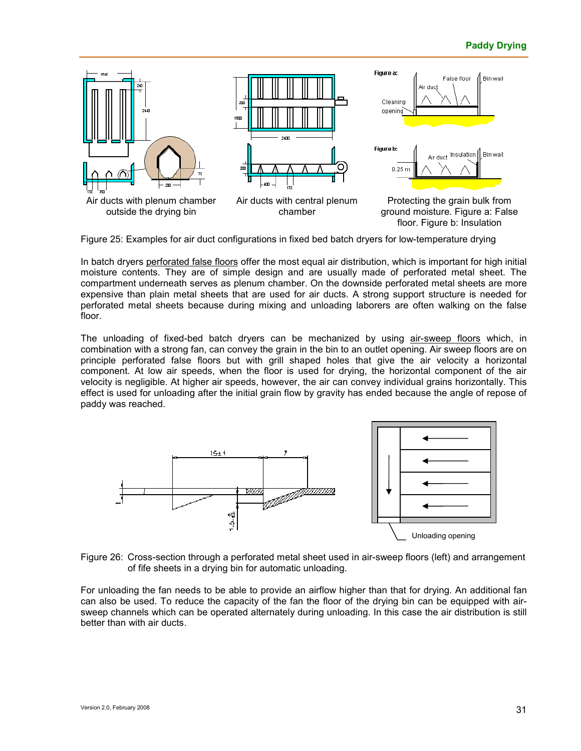

Figure 25: Examples for air duct configurations in fixed bed batch dryers for low-temperature drying

In batch dryers perforated false floors offer the most equal air distribution, which is important for high initial moisture contents. They are of simple design and are usually made of perforated metal sheet. The compartment underneath serves as plenum chamber. On the downside perforated metal sheets are more expensive than plain metal sheets that are used for air ducts. A strong support structure is needed for perforated metal sheets because during mixing and unloading laborers are often walking on the false floor.

The unloading of fixed-bed batch dryers can be mechanized by using air-sweep floors which, in combination with a strong fan, can convey the grain in the bin to an outlet opening. Air sweep floors are on principle perforated false floors but with grill shaped holes that give the air velocity a horizontal component. At low air speeds, when the floor is used for drying, the horizontal component of the air velocity is negligible. At higher air speeds, however, the air can convey individual grains horizontally. This effect is used for unloading after the initial grain flow by gravity has ended because the angle of repose of paddy was reached.



Figure 26: Cross-section through a perforated metal sheet used in air-sweep floors (left) and arrangement of fife sheets in a drying bin for automatic unloading.

For unloading the fan needs to be able to provide an airflow higher than that for drying. An additional fan can also be used. To reduce the capacity of the fan the floor of the drying bin can be equipped with airsweep channels which can be operated alternately during unloading. In this case the air distribution is still better than with air ducts.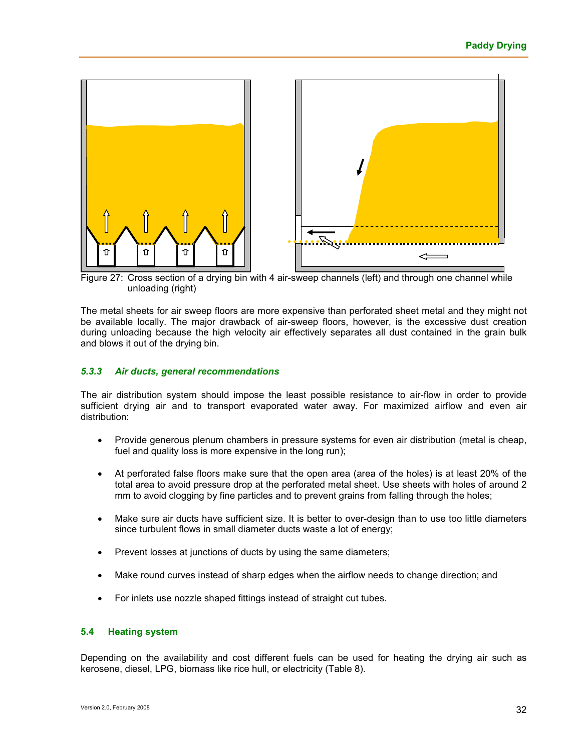

Figure 27: Cross section of a drying bin with 4 air-sweep channels (left) and through one channel while unloading (right)

The metal sheets for air sweep floors are more expensive than perforated sheet metal and they might not be available locally. The major drawback of air-sweep floors, however, is the excessive dust creation during unloading because the high velocity air effectively separates all dust contained in the grain bulk and blows it out of the drying bin.

#### *5.3.3 Air ducts, general recommendations*

The air distribution system should impose the least possible resistance to air-flow in order to provide sufficient drying air and to transport evaporated water away. For maximized airflow and even air distribution:

- Provide generous plenum chambers in pressure systems for even air distribution (metal is cheap, fuel and quality loss is more expensive in the long run);
- At perforated false floors make sure that the open area (area of the holes) is at least 20% of the total area to avoid pressure drop at the perforated metal sheet. Use sheets with holes of around 2 mm to avoid clogging by fine particles and to prevent grains from falling through the holes;
- Make sure air ducts have sufficient size. It is better to over-design than to use too little diameters since turbulent flows in small diameter ducts waste a lot of energy;
- Prevent losses at junctions of ducts by using the same diameters;
- Make round curves instead of sharp edges when the airflow needs to change direction; and
- For inlets use nozzle shaped fittings instead of straight cut tubes.

#### **5.4 Heating system**

Depending on the availability and cost different fuels can be used for heating the drying air such as kerosene, diesel, LPG, biomass like rice hull, or electricity (Table 8).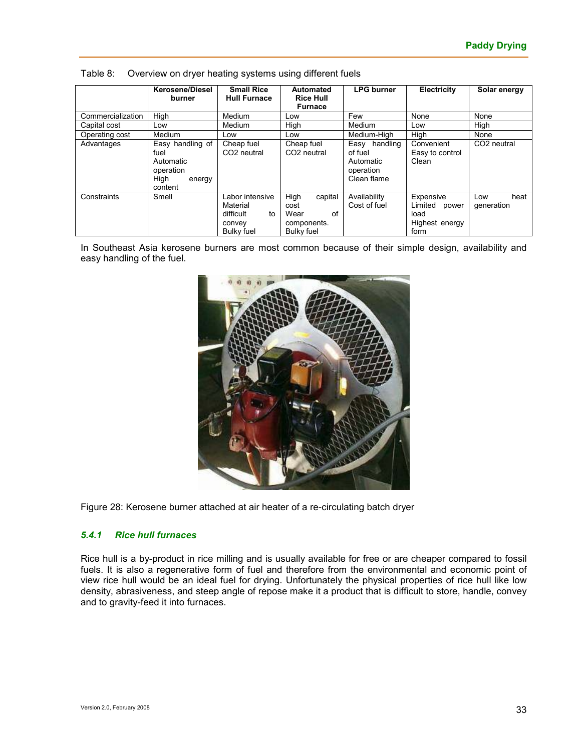|                   | <b>Kerosene/Diesel</b><br>burner                                                | <b>Small Rice</b><br><b>Hull Furnace</b>                                      | Automated<br><b>Rice Hull</b><br><b>Furnace</b>                    | <b>LPG burner</b>                                                    | Electricity                                                     | Solar energy              |
|-------------------|---------------------------------------------------------------------------------|-------------------------------------------------------------------------------|--------------------------------------------------------------------|----------------------------------------------------------------------|-----------------------------------------------------------------|---------------------------|
| Commercialization | High                                                                            | Medium                                                                        | Low                                                                | Few                                                                  | None                                                            | None                      |
| Capital cost      | Low                                                                             | Medium                                                                        | High                                                               | Medium                                                               | Low                                                             | High                      |
| Operating cost    | Medium                                                                          | Low                                                                           | Low                                                                | Medium-High                                                          | High                                                            | None                      |
| Advantages        | Easy handling of<br>fuel<br>Automatic<br>operation<br>High<br>energy<br>content | Cheap fuel<br>CO <sub>2</sub> neutral                                         | Cheap fuel<br>CO <sub>2</sub> neutral                              | Easy<br>handling<br>of fuel<br>Automatic<br>operation<br>Clean flame | Convenient<br>Easy to control<br>Clean                          | CO <sub>2</sub> neutral   |
| Constraints       | Smell                                                                           | Labor intensive<br>Material<br>difficult<br>to<br>convey<br><b>Bulky fuel</b> | High<br>capital<br>cost<br>of<br>Wear<br>components.<br>Bulky fuel | Availability<br>Cost of fuel                                         | Expensive<br>Limited<br>power<br>load<br>Highest energy<br>form | heat<br>Low<br>generation |

Table 8: Overview on dryer heating systems using different fuels

In Southeast Asia kerosene burners are most common because of their simple design, availability and easy handling of the fuel.



Figure 28: Kerosene burner attached at air heater of a re-circulating batch dryer

#### *5.4.1 Rice hull furnaces*

Rice hull is a by-product in rice milling and is usually available for free or are cheaper compared to fossil fuels. It is also a regenerative form of fuel and therefore from the environmental and economic point of view rice hull would be an ideal fuel for drying. Unfortunately the physical properties of rice hull like low density, abrasiveness, and steep angle of repose make it a product that is difficult to store, handle, convey and to gravity-feed it into furnaces.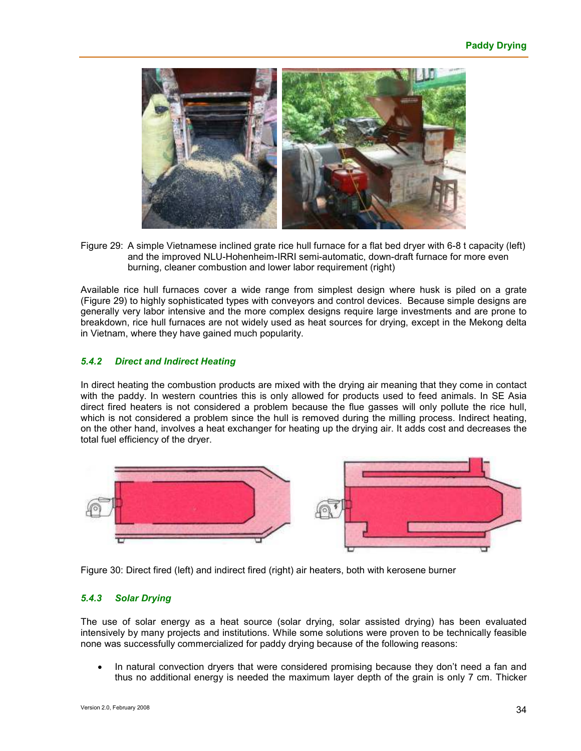

Figure 29: A simple Vietnamese inclined grate rice hull furnace for a flat bed dryer with 6-8 t capacity (left) and the improved NLU-Hohenheim-IRRI semi-automatic, down-draft furnace for more even burning, cleaner combustion and lower labor requirement (right)

Available rice hull furnaces cover a wide range from simplest design where husk is piled on a grate (Figure 29) to highly sophisticated types with conveyors and control devices. Because simple designs are generally very labor intensive and the more complex designs require large investments and are prone to breakdown, rice hull furnaces are not widely used as heat sources for drying, except in the Mekong delta in Vietnam, where they have gained much popularity.

#### *5.4.2 Direct and Indirect Heating*

In direct heating the combustion products are mixed with the drying air meaning that they come in contact with the paddy. In western countries this is only allowed for products used to feed animals. In SE Asia direct fired heaters is not considered a problem because the flue gasses will only pollute the rice hull, which is not considered a problem since the hull is removed during the milling process. Indirect heating, on the other hand, involves a heat exchanger for heating up the drying air. It adds cost and decreases the total fuel efficiency of the dryer.



Figure 30: Direct fired (left) and indirect fired (right) air heaters, both with kerosene burner

#### *5.4.3 Solar Drying*

The use of solar energy as a heat source (solar drying, solar assisted drying) has been evaluated intensively by many projects and institutions. While some solutions were proven to be technically feasible none was successfully commercialized for paddy drying because of the following reasons:

• In natural convection dryers that were considered promising because they don't need a fan and thus no additional energy is needed the maximum layer depth of the grain is only 7 cm. Thicker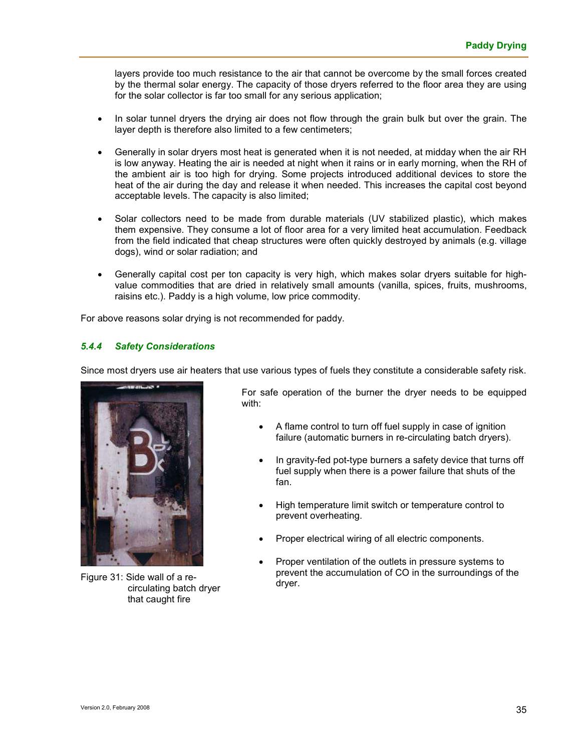layers provide too much resistance to the air that cannot be overcome by the small forces created by the thermal solar energy. The capacity of those dryers referred to the floor area they are using for the solar collector is far too small for any serious application;

- In solar tunnel dryers the drying air does not flow through the grain bulk but over the grain. The layer depth is therefore also limited to a few centimeters;
- Generally in solar dryers most heat is generated when it is not needed, at midday when the air RH is low anyway. Heating the air is needed at night when it rains or in early morning, when the RH of the ambient air is too high for drying. Some projects introduced additional devices to store the heat of the air during the day and release it when needed. This increases the capital cost beyond acceptable levels. The capacity is also limited;
- Solar collectors need to be made from durable materials (UV stabilized plastic), which makes them expensive. They consume a lot of floor area for a very limited heat accumulation. Feedback from the field indicated that cheap structures were often quickly destroyed by animals (e.g. village dogs), wind or solar radiation; and
- Generally capital cost per ton capacity is very high, which makes solar dryers suitable for highvalue commodities that are dried in relatively small amounts (vanilla, spices, fruits, mushrooms, raisins etc.). Paddy is a high volume, low price commodity.

For above reasons solar drying is not recommended for paddy.

#### *5.4.4 Safety Considerations*

Since most dryers use air heaters that use various types of fuels they constitute a considerable safety risk.



Figure 31: Side wall of a recirculating batch dryer that caught fire

For safe operation of the burner the dryer needs to be equipped with:

- A flame control to turn off fuel supply in case of ignition failure (automatic burners in re-circulating batch dryers).
- In gravity-fed pot-type burners a safety device that turns off fuel supply when there is a power failure that shuts of the fan.
- High temperature limit switch or temperature control to prevent overheating.
- Proper electrical wiring of all electric components.
- Proper ventilation of the outlets in pressure systems to prevent the accumulation of CO in the surroundings of the dryer.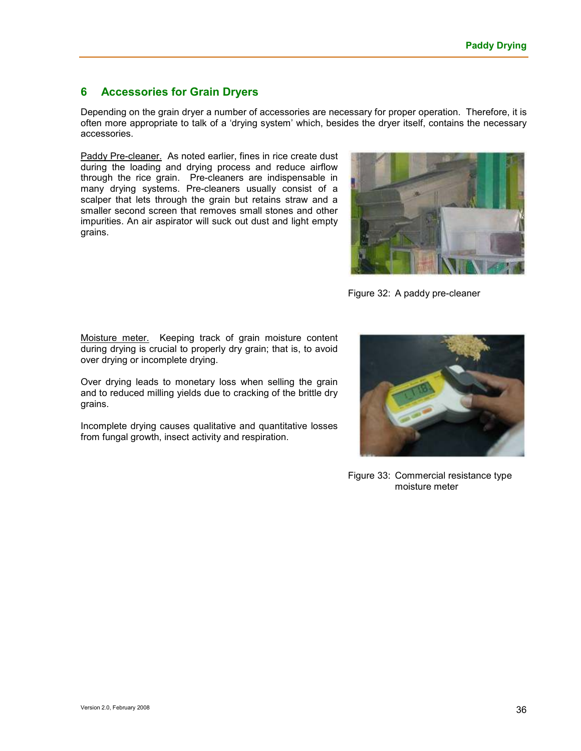## **6 Accessories for Grain Dryers**

Depending on the grain dryer a number of accessories are necessary for proper operation. Therefore, it is often more appropriate to talk of a 'drying system' which, besides the dryer itself, contains the necessary accessories.

Paddy Pre-cleaner. As noted earlier, fines in rice create dust during the loading and drying process and reduce airflow through the rice grain. Pre-cleaners are indispensable in many drying systems. Pre-cleaners usually consist of a scalper that lets through the grain but retains straw and a smaller second screen that removes small stones and other impurities. An air aspirator will suck out dust and light empty grains.



Figure 32: A paddy pre-cleaner

Moisture meter. Keeping track of grain moisture content during drying is crucial to properly dry grain; that is, to avoid over drying or incomplete drying.

Over drying leads to monetary loss when selling the grain and to reduced milling yields due to cracking of the brittle dry grains.

Incomplete drying causes qualitative and quantitative losses from fungal growth, insect activity and respiration.



Figure 33: Commercial resistance type moisture meter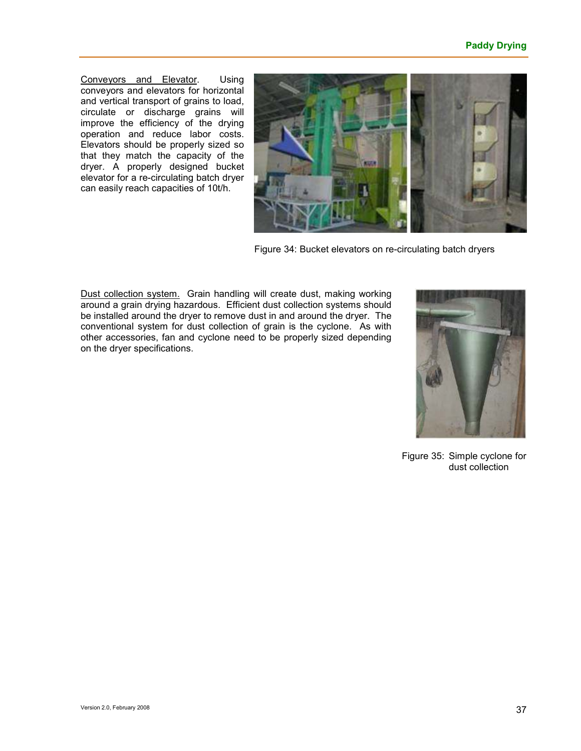Conveyors and Elevator. Using conveyors and elevators for horizontal and vertical transport of grains to load, circulate or discharge grains will improve the efficiency of the drying operation and reduce labor costs. Elevators should be properly sized so that they match the capacity of the dryer. A properly designed bucket elevator for a re-circulating batch dryer can easily reach capacities of 10t/h.



Figure 34: Bucket elevators on re-circulating batch dryers

Dust collection system. Grain handling will create dust, making working around a grain drying hazardous. Efficient dust collection systems should be installed around the dryer to remove dust in and around the dryer. The conventional system for dust collection of grain is the cyclone. As with other accessories, fan and cyclone need to be properly sized depending on the dryer specifications.



Figure 35: Simple cyclone for dust collection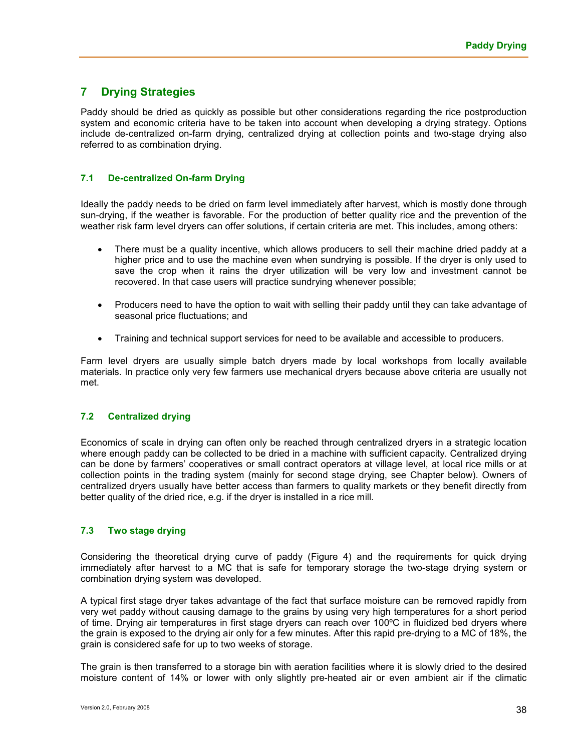# **7 Drying Strategies**

Paddy should be dried as quickly as possible but other considerations regarding the rice postproduction system and economic criteria have to be taken into account when developing a drying strategy. Options include de-centralized on-farm drying, centralized drying at collection points and two-stage drying also referred to as combination drying.

#### **7.1 De-centralized On-farm Drying**

Ideally the paddy needs to be dried on farm level immediately after harvest, which is mostly done through sun-drying, if the weather is favorable. For the production of better quality rice and the prevention of the weather risk farm level dryers can offer solutions, if certain criteria are met. This includes, among others:

- There must be a quality incentive, which allows producers to sell their machine dried paddy at a higher price and to use the machine even when sundrying is possible. If the dryer is only used to save the crop when it rains the dryer utilization will be very low and investment cannot be recovered. In that case users will practice sundrying whenever possible;
- Producers need to have the option to wait with selling their paddy until they can take advantage of seasonal price fluctuations; and
- Training and technical support services for need to be available and accessible to producers.

Farm level dryers are usually simple batch dryers made by local workshops from locally available materials. In practice only very few farmers use mechanical dryers because above criteria are usually not met.

#### **7.2 Centralized drying**

Economics of scale in drying can often only be reached through centralized dryers in a strategic location where enough paddy can be collected to be dried in a machine with sufficient capacity. Centralized drying can be done by farmers' cooperatives or small contract operators at village level, at local rice mills or at collection points in the trading system (mainly for second stage drying, see Chapter below). Owners of centralized dryers usually have better access than farmers to quality markets or they benefit directly from better quality of the dried rice, e.g. if the dryer is installed in a rice mill.

#### **7.3 Two stage drying**

Considering the theoretical drying curve of paddy (Figure 4) and the requirements for quick drying immediately after harvest to a MC that is safe for temporary storage the two-stage drying system or combination drying system was developed.

A typical first stage dryer takes advantage of the fact that surface moisture can be removed rapidly from very wet paddy without causing damage to the grains by using very high temperatures for a short period of time. Drying air temperatures in first stage dryers can reach over 100ºC in fluidized bed dryers where the grain is exposed to the drying air only for a few minutes. After this rapid pre-drying to a MC of 18%, the grain is considered safe for up to two weeks of storage.

The grain is then transferred to a storage bin with aeration facilities where it is slowly dried to the desired moisture content of 14% or lower with only slightly pre-heated air or even ambient air if the climatic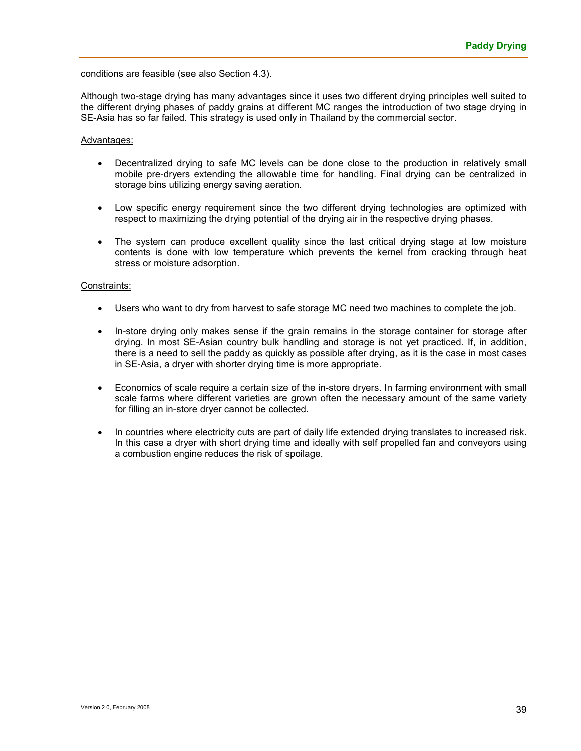conditions are feasible (see also Section 4.3).

Although two-stage drying has many advantages since it uses two different drying principles well suited to the different drying phases of paddy grains at different MC ranges the introduction of two stage drying in SE-Asia has so far failed. This strategy is used only in Thailand by the commercial sector.

#### Advantages:

- Decentralized drying to safe MC levels can be done close to the production in relatively small mobile pre-dryers extending the allowable time for handling. Final drying can be centralized in storage bins utilizing energy saving aeration.
- Low specific energy requirement since the two different drying technologies are optimized with respect to maximizing the drying potential of the drying air in the respective drying phases.
- The system can produce excellent quality since the last critical drying stage at low moisture contents is done with low temperature which prevents the kernel from cracking through heat stress or moisture adsorption.

#### Constraints:

- Users who want to dry from harvest to safe storage MC need two machines to complete the job.
- In-store drying only makes sense if the grain remains in the storage container for storage after drying. In most SE-Asian country bulk handling and storage is not yet practiced. If, in addition, there is a need to sell the paddy as quickly as possible after drying, as it is the case in most cases in SE-Asia, a dryer with shorter drying time is more appropriate.
- Economics of scale require a certain size of the in-store dryers. In farming environment with small scale farms where different varieties are grown often the necessary amount of the same variety for filling an in-store dryer cannot be collected.
- In countries where electricity cuts are part of daily life extended drying translates to increased risk. In this case a dryer with short drying time and ideally with self propelled fan and conveyors using a combustion engine reduces the risk of spoilage.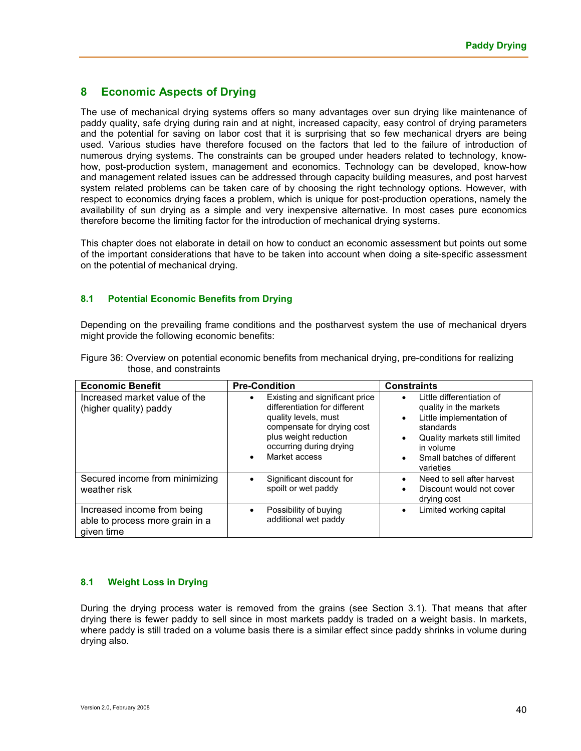# **8 Economic Aspects of Drying**

The use of mechanical drying systems offers so many advantages over sun drying like maintenance of paddy quality, safe drying during rain and at night, increased capacity, easy control of drying parameters and the potential for saving on labor cost that it is surprising that so few mechanical dryers are being used. Various studies have therefore focused on the factors that led to the failure of introduction of numerous drying systems. The constraints can be grouped under headers related to technology, knowhow, post-production system, management and economics. Technology can be developed, know-how and management related issues can be addressed through capacity building measures, and post harvest system related problems can be taken care of by choosing the right technology options. However, with respect to economics drying faces a problem, which is unique for post-production operations, namely the availability of sun drying as a simple and very inexpensive alternative. In most cases pure economics therefore become the limiting factor for the introduction of mechanical drying systems.

This chapter does not elaborate in detail on how to conduct an economic assessment but points out some of the important considerations that have to be taken into account when doing a site-specific assessment on the potential of mechanical drying.

#### **8.1 Potential Economic Benefits from Drying**

Depending on the prevailing frame conditions and the postharvest system the use of mechanical dryers might provide the following economic benefits:

| <b>Economic Benefit</b>                                                      | <b>Pre-Condition</b>                                                                                                                                                                                    | <b>Constraints</b>                                                                                                                                                                                              |  |  |
|------------------------------------------------------------------------------|---------------------------------------------------------------------------------------------------------------------------------------------------------------------------------------------------------|-----------------------------------------------------------------------------------------------------------------------------------------------------------------------------------------------------------------|--|--|
| Increased market value of the<br>(higher quality) paddy                      | Existing and significant price<br>differentiation for different<br>quality levels, must<br>compensate for drying cost<br>plus weight reduction<br>occurring during drying<br>Market access<br>$\bullet$ | Little differentiation of<br>quality in the markets<br>Little implementation of<br>$\bullet$<br>standards<br>Quality markets still limited<br>in volume<br>Small batches of different<br>$\bullet$<br>varieties |  |  |
| Secured income from minimizing<br>weather risk                               | Significant discount for<br>spoilt or wet paddy                                                                                                                                                         | Need to sell after harvest<br>Discount would not cover<br>drying cost                                                                                                                                           |  |  |
| Increased income from being<br>able to process more grain in a<br>given time | Possibility of buying<br>$\bullet$<br>additional wet paddy                                                                                                                                              | Limited working capital                                                                                                                                                                                         |  |  |

Figure 36: Overview on potential economic benefits from mechanical drying, pre-conditions for realizing those, and constraints

#### **8.1 Weight Loss in Drying**

During the drying process water is removed from the grains (see Section 3.1). That means that after drying there is fewer paddy to sell since in most markets paddy is traded on a weight basis. In markets, where paddy is still traded on a volume basis there is a similar effect since paddy shrinks in volume during drying also.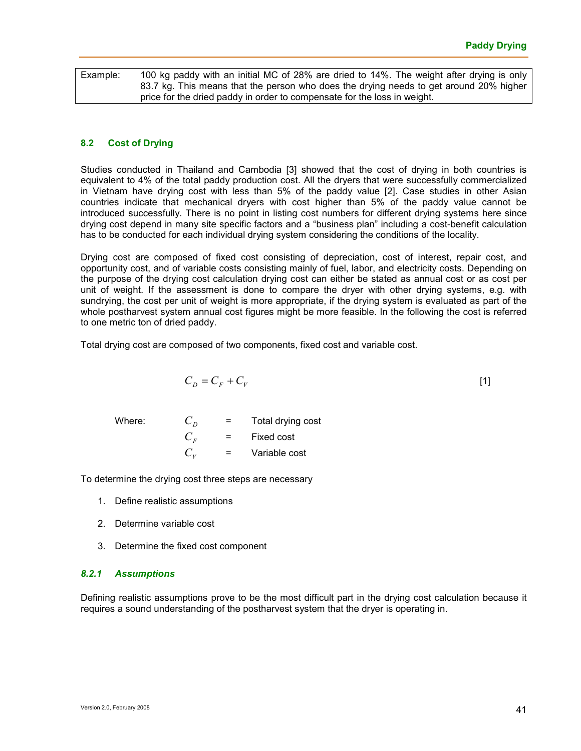| Example: | 100 kg paddy with an initial MC of 28% are dried to 14%. The weight after drying is only |  |  |  |  |
|----------|------------------------------------------------------------------------------------------|--|--|--|--|
|          | 83.7 kg. This means that the person who does the drying needs to get around 20% higher   |  |  |  |  |
|          | price for the dried paddy in order to compensate for the loss in weight.                 |  |  |  |  |

#### **8.2 Cost of Drying**

Studies conducted in Thailand and Cambodia [3] showed that the cost of drying in both countries is equivalent to 4% of the total paddy production cost. All the dryers that were successfully commercialized in Vietnam have drying cost with less than 5% of the paddy value [2]. Case studies in other Asian countries indicate that mechanical dryers with cost higher than 5% of the paddy value cannot be introduced successfully. There is no point in listing cost numbers for different drying systems here since drying cost depend in many site specific factors and a "business plan" including a cost-benefit calculation has to be conducted for each individual drying system considering the conditions of the locality.

Drying cost are composed of fixed cost consisting of depreciation, cost of interest, repair cost, and opportunity cost, and of variable costs consisting mainly of fuel, labor, and electricity costs. Depending on the purpose of the drying cost calculation drying cost can either be stated as annual cost or as cost per unit of weight. If the assessment is done to compare the dryer with other drying systems, e.g. with sundrying, the cost per unit of weight is more appropriate, if the drying system is evaluated as part of the whole postharvest system annual cost figures might be more feasible. In the following the cost is referred to one metric ton of dried paddy.

Total drying cost are composed of two components, fixed cost and variable cost.

$$
C_D = C_F + C_V \tag{1}
$$

Where:  $C_p$  = Total drying cost  $C_F$  = Fixed cost  $C_{\nu}$ = Variable cost

To determine the drying cost three steps are necessary

- 1. Define realistic assumptions
- 2. Determine variable cost
- 3. Determine the fixed cost component

#### *8.2.1 Assumptions*

Defining realistic assumptions prove to be the most difficult part in the drying cost calculation because it requires a sound understanding of the postharvest system that the dryer is operating in.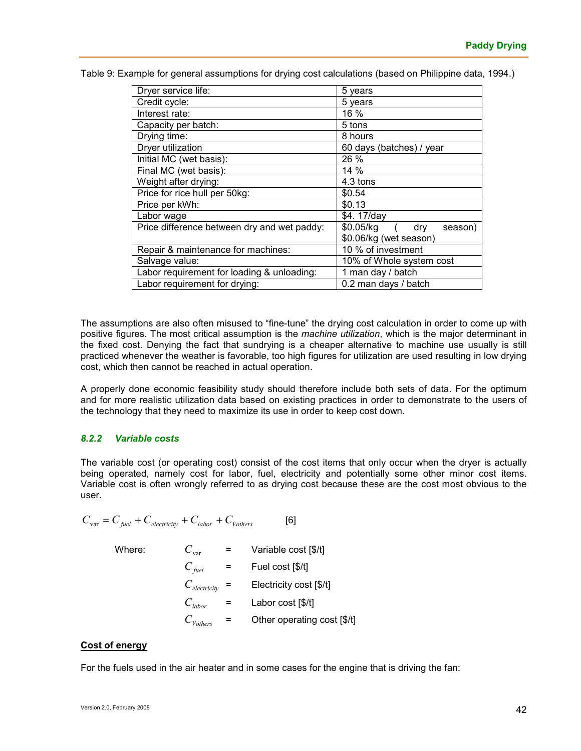| Dryer service life:                         | 5 years                        |  |
|---------------------------------------------|--------------------------------|--|
| Credit cycle:                               | 5 years                        |  |
| Interest rate:                              | 16 %                           |  |
| Capacity per batch:                         | 5 tons                         |  |
| Drying time:                                | 8 hours                        |  |
| Dryer utilization                           | 60 days (batches) / year       |  |
| Initial MC (wet basis):                     | 26 %                           |  |
| Final MC (wet basis):                       | 14%                            |  |
| Weight after drying:                        | 4.3 tons                       |  |
| Price for rice hull per 50kg:               | \$0.54                         |  |
| Price per kWh:                              | \$0.13                         |  |
| Labor wage                                  | \$4.17/day                     |  |
| Price difference between dry and wet paddy: | dry<br>$$0.05/kg$ (<br>season) |  |
|                                             | \$0.06/kg (wet season)         |  |
| Repair & maintenance for machines:          | 10 % of investment             |  |
| Salvage value:                              | 10% of Whole system cost       |  |
| Labor requirement for loading & unloading:  | 1 man day / batch              |  |
| Labor requirement for drying:               | 0.2 man days / batch           |  |

Table 9: Example for general assumptions for drying cost calculations (based on Philippine data, 1994.)

The assumptions are also often misused to "fine-tune" the drying cost calculation in order to come up with positive figures. The most critical assumption is the *machine utilization*, which is the major determinant in the fixed cost. Denying the fact that sundrying is a cheaper alternative to machine use usually is still practiced whenever the weather is favorable, too high figures for utilization are used resulting in low drying cost, which then cannot be reached in actual operation.

A properly done economic feasibility study should therefore include both sets of data. For the optimum and for more realistic utilization data based on existing practices in order to demonstrate to the users of the technology that they need to maximize its use in order to keep cost down.

#### *8.2.2 Variable costs*

The variable cost (or operating cost) consist of the cost items that only occur when the dryer is actually being operated, namely cost for labor, fuel, electricity and potentially some other minor cost items. Variable cost is often wrongly referred to as drying cost because these are the cost most obvious to the user.

$$
C_{\text{var}} = C_{\text{fuel}} + C_{\text{electricity}} + C_{\text{labor}} + C_{\text{Volhers}}
$$
 [6]

Where:

\n
$$
C_{var} = \text{Variable cost [$(f/t] ]}
$$
\n
$$
C_{field} = \text{File cost [$(f/t] ]}
$$
\n
$$
C_{electricity} = \text{Electricity cost [$(f/t] ]}
$$
\n
$$
C_{labor} = \text{ Labor cost [$(f/t] ]}
$$
\n
$$
C_{Vothers} = \text{Other operating cost [$(f/t] ]}
$$

#### **Cost of energy**

For the fuels used in the air heater and in some cases for the engine that is driving the fan: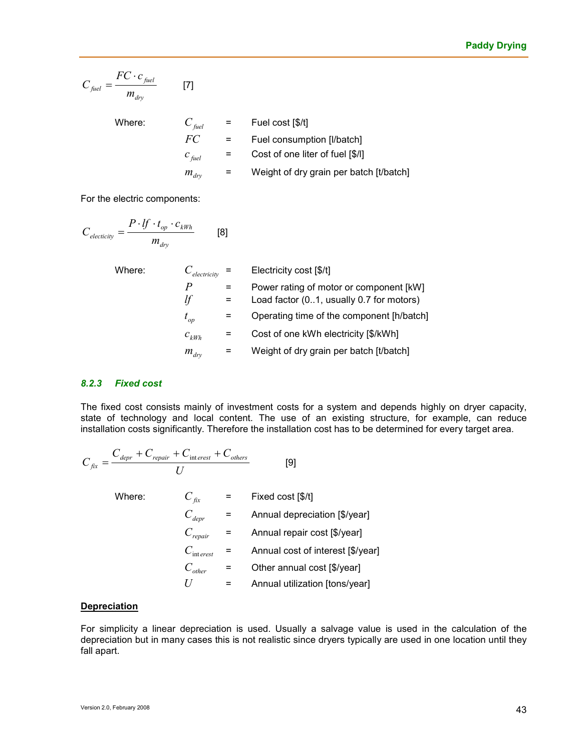$$
C_{\text{fuel}} = \frac{FC \cdot c_{\text{fuel}}}{m_{\text{dry}}}
$$
 [7]  
Where:  

$$
C_{\text{fuel}} = \text{Full cost [$(1)]}
$$
  

$$
FC = \text{Full consumption [l/batch]}
$$
  

$$
C_{\text{fuel}} = \text{Cost of one liter of fuel [$(1)]}
$$
  

$$
m_{\text{dry}} = \text{Weight of dry grain per batch [t/batch]}
$$

For the electric components:

$$
C_{electricity} = \frac{P \cdot lf \cdot t_{op} \cdot c_{kWh}}{m_{dry}}
$$
 [8]

| Where: | $e$ lectricity   | Electricity cost [\$/t]                                                             |
|--------|------------------|-------------------------------------------------------------------------------------|
|        | P<br>lf          | Power rating of motor or component [kW]<br>Load factor (01, usually 0.7 for motors) |
|        | $t_{op}$         | Operating time of the component [h/batch]                                           |
|        | $c_{kWh}$        | Cost of one kWh electricity [\$/kWh]                                                |
|        | $m_{\text{div}}$ | Weight of dry grain per batch [t/batch]                                             |

#### *8.2.3 Fixed cost*

The fixed cost consists mainly of investment costs for a system and depends highly on dryer capacity, state of technology and local content. The use of an existing structure, for example, can reduce installation costs significantly. Therefore the installation cost has to be determined for every target area.

$$
C_{fix} = \frac{C_{depr} + C_{repair} + C_{interest} + C_{others}}{U}
$$
 [9]  
Where:  

$$
C_{fix} = \text{Fixed cost [$\mathcal{N}]\n}
$$

$$
C_{depr} = \text{Annual depreciation [$\mathcal{S}]/\text{year}]\n}
$$

$$
C_{repair} = \text{Annual repair cost [$\mathcal{V}]\n}
$$

$$
C_{interest} = \text{Annual cost of interest [$\mathcal{V}]\n}
$$

$$
C_{other} = \text{Other annual cost [$\mathcal{V}]\n}
$$

*U* = Annual utilization [tons/year]

## **Depreciation**

For simplicity a linear depreciation is used. Usually a salvage value is used in the calculation of the depreciation but in many cases this is not realistic since dryers typically are used in one location until they fall apart.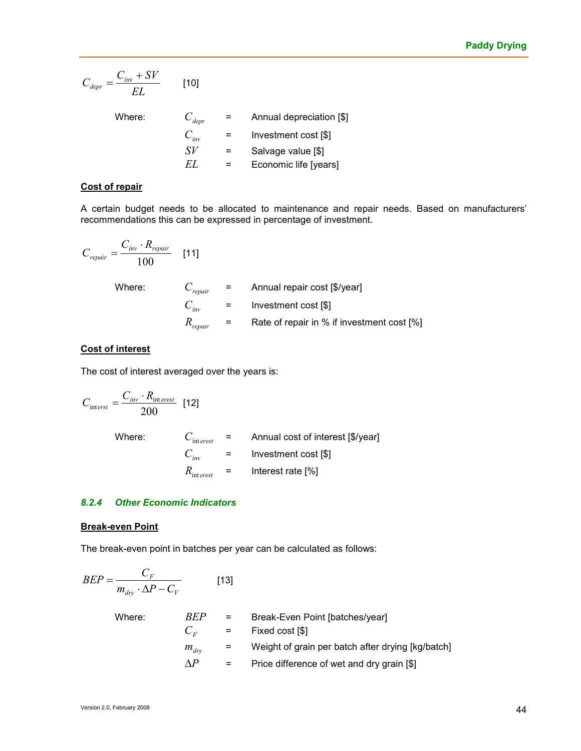$$
C_{depr} = \frac{C_{inv} + SV}{EL}
$$
 [10]

| Where: | $C_{depr}$ | $=$ | Annual depreciation [\$] |
|--------|------------|-----|--------------------------|
|        | $C_{inv}$  | $=$ | Investment cost [\$]     |
|        | SV         | $=$ | Salvage value [\$]       |
|        | FΤ         |     | Economic life [years]    |

#### **Cost of repair**

A certain budget needs to be allocated to maintenance and repair needs. Based on manufacturers' recommendations this can be expressed in percentage of investment.

$$
C_{\text{repair}} = \frac{C_{\text{inv}} \cdot R_{\text{repair}}}{100} \quad [11]
$$
\nWhere:

\n
$$
C_{\text{repair}} = \text{Annual repair cost [$(\text{y} \text{y} \text{ear}]\text{]}
$$
\n
$$
C_{\text{inv}} = \text{Investment cost [$(\text{y} \text{y} \text{ear}]\text{]}
$$
\n
$$
R_{\text{repair}} = \text{Rate of repair in % if investment cost [%]}
$$

#### **Cost of interest**

The cost of interest averaged over the years is:

$$
C_{\text{int}\text{ }erst} = \frac{C_{\text{inv}} \cdot R_{\text{interest}}}{200} \quad \text{[12]}
$$
\nWhere:

\n
$$
C_{\text{interest}} = \text{Annual cost of interest [$\text{y/year}]}
$$
\n
$$
C_{\text{inv}} = \text{Investment cost [$\text{z}]\text{]}
$$
\n
$$
R_{\text{interest}} = \text{Interest rate [$\text{z}]\text{]}
$$

#### *8.2.4 Other Economic Indicators*

#### **Break-even Point**

The break-even point in batches per year can be calculated as follows:

$$
BEP = \frac{C_F}{m_{dry} \cdot \Delta P - C_V}
$$
 [13]  
\nWhere: 
$$
BEP = \text{Break-Even Point [batches/year]}
$$

$$
C_F = \text{Fixed cost [$]}
$$

$$
m_{dry} = \text{Weight of grain per batch after drying [kg/batch]}
$$

$$
\Delta P = \text{Price difference of wet and dry grain [$]}
$$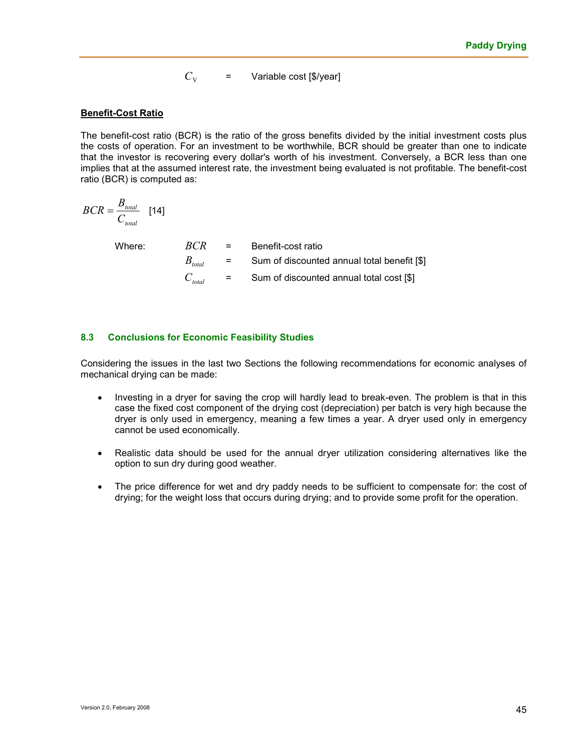$C_{V}$ = Variable cost [\$/year]

#### **Benefit-Cost Ratio**

The benefit-cost ratio (BCR) is the ratio of the gross benefits divided by the initial investment costs plus the costs of operation. For an investment to be worthwhile, BCR should be greater than one to indicate that the investor is recovering every dollar's worth of his investment. Conversely, a BCR less than one implies that at the assumed interest rate, the investment being evaluated is not profitable. The benefit-cost ratio (BCR) is computed as:

$$
BCR = \frac{B_{total}}{C_{total}} \quad [14]
$$

Where: *BCR* BCR **BC** 

| BCR                            | $\equiv$ | Benefit-cost ratio                          |
|--------------------------------|----------|---------------------------------------------|
| $B_{\scriptscriptstyle total}$ | $=$      | Sum of discounted annual total benefit [\$] |
| $C_{\rm total}$                | $=$ $-$  | Sum of discounted annual total cost [\$]    |

#### **8.3 Conclusions for Economic Feasibility Studies**

Considering the issues in the last two Sections the following recommendations for economic analyses of mechanical drying can be made:

- Investing in a dryer for saving the crop will hardly lead to break-even. The problem is that in this case the fixed cost component of the drying cost (depreciation) per batch is very high because the dryer is only used in emergency, meaning a few times a year. A dryer used only in emergency cannot be used economically.
- Realistic data should be used for the annual dryer utilization considering alternatives like the option to sun dry during good weather.
- The price difference for wet and dry paddy needs to be sufficient to compensate for: the cost of drying; for the weight loss that occurs during drying; and to provide some profit for the operation.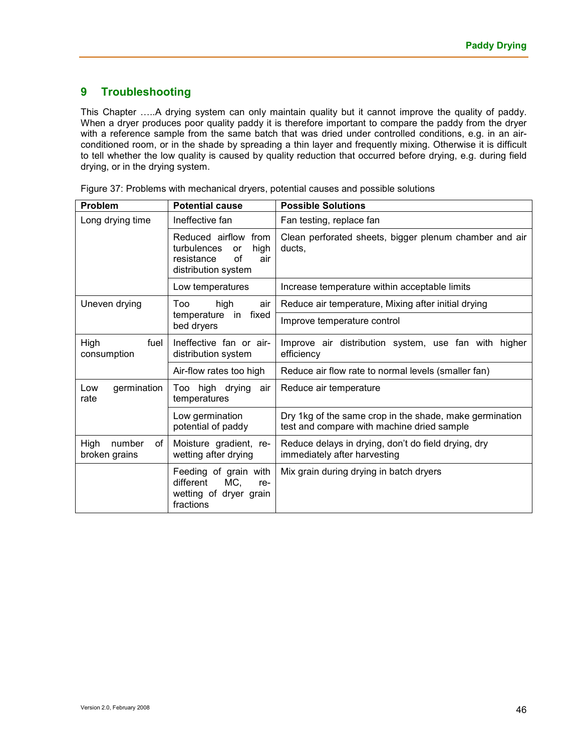# **9 Troubleshooting**

This Chapter .....A drying system can only maintain quality but it cannot improve the quality of paddy. When a dryer produces poor quality paddy it is therefore important to compare the paddy from the dryer with a reference sample from the same batch that was dried under controlled conditions, e.g. in an airconditioned room, or in the shade by spreading a thin layer and frequently mixing. Otherwise it is difficult to tell whether the low quality is caused by quality reduction that occurred before drying, e.g. during field drying, or in the drying system.

| Problem                                                              | <b>Potential cause</b>                                                                                        | <b>Possible Solutions</b>                                                                             |  |
|----------------------------------------------------------------------|---------------------------------------------------------------------------------------------------------------|-------------------------------------------------------------------------------------------------------|--|
| Long drying time                                                     | Ineffective fan                                                                                               | Fan testing, replace fan                                                                              |  |
|                                                                      | Reduced airflow<br>from<br>turbulences<br>high<br><b>or</b><br>of<br>resistance<br>air<br>distribution system | Clean perforated sheets, bigger plenum chamber and air<br>ducts.                                      |  |
|                                                                      | Low temperatures                                                                                              | Increase temperature within acceptable limits                                                         |  |
| Uneven drying                                                        | Too<br>high<br>air                                                                                            | Reduce air temperature, Mixing after initial drying                                                   |  |
|                                                                      | fixed<br>temperature in<br>bed dryers                                                                         | Improve temperature control                                                                           |  |
| High<br>fuel<br>consumption                                          | Ineffective fan or air-<br>distribution system                                                                | Improve air distribution system, use fan with higher<br>efficiency                                    |  |
|                                                                      | Air-flow rates too high                                                                                       | Reduce air flow rate to normal levels (smaller fan)                                                   |  |
| germination<br>Too high drying<br>Low<br>air<br>rate<br>temperatures |                                                                                                               | Reduce air temperature                                                                                |  |
|                                                                      | Low germination<br>potential of paddy                                                                         | Dry 1kg of the same crop in the shade, make germination<br>test and compare with machine dried sample |  |
| High<br>number<br>οf<br>broken grains                                | Moisture gradient, re-<br>wetting after drying                                                                | Reduce delays in drying, don't do field drying, dry<br>immediately after harvesting                   |  |
|                                                                      | Feeding of grain with<br>MC,<br>different<br>re-<br>wetting of dryer grain<br>fractions                       | Mix grain during drying in batch dryers                                                               |  |

Figure 37: Problems with mechanical dryers, potential causes and possible solutions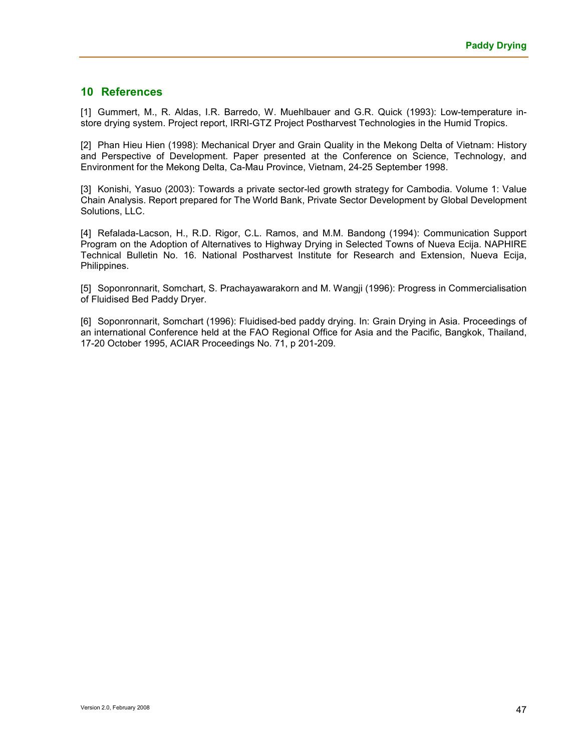#### **10 References**

[1] Gummert, M., R. Aldas, I.R. Barredo, W. Muehlbauer and G.R. Quick (1993): Low-temperature instore drying system. Project report, IRRI-GTZ Project Postharvest Technologies in the Humid Tropics.

[2] Phan Hieu Hien (1998): Mechanical Dryer and Grain Quality in the Mekong Delta of Vietnam: History and Perspective of Development. Paper presented at the Conference on Science, Technology, and Environment for the Mekong Delta, Ca-Mau Province, Vietnam, 24-25 September 1998.

[3] Konishi, Yasuo (2003): Towards a private sector-led growth strategy for Cambodia. Volume 1: Value Chain Analysis. Report prepared for The World Bank, Private Sector Development by Global Development Solutions, LLC.

[4] Refalada-Lacson, H., R.D. Rigor, C.L. Ramos, and M.M. Bandong (1994): Communication Support Program on the Adoption of Alternatives to Highway Drying in Selected Towns of Nueva Ecija. NAPHIRE Technical Bulletin No. 16. National Postharvest Institute for Research and Extension, Nueva Ecija, Philippines.

[5] Soponronnarit, Somchart, S. Prachayawarakorn and M. Wangji (1996): Progress in Commercialisation of Fluidised Bed Paddy Dryer.

[6] Soponronnarit, Somchart (1996): Fluidised-bed paddy drying. In: Grain Drying in Asia. Proceedings of an international Conference held at the FAO Regional Office for Asia and the Pacific, Bangkok, Thailand, 17-20 October 1995, ACIAR Proceedings No. 71, p 201-209.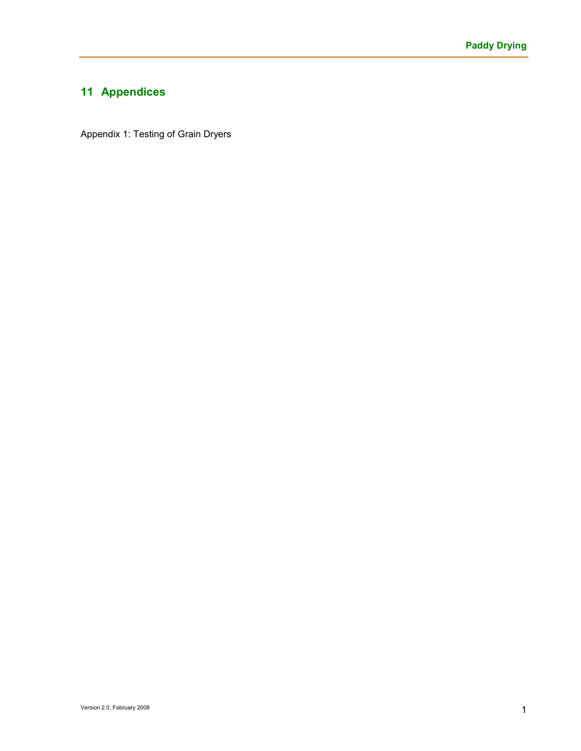# **11 Appendices**

Appendix 1: Testing of Grain Dryers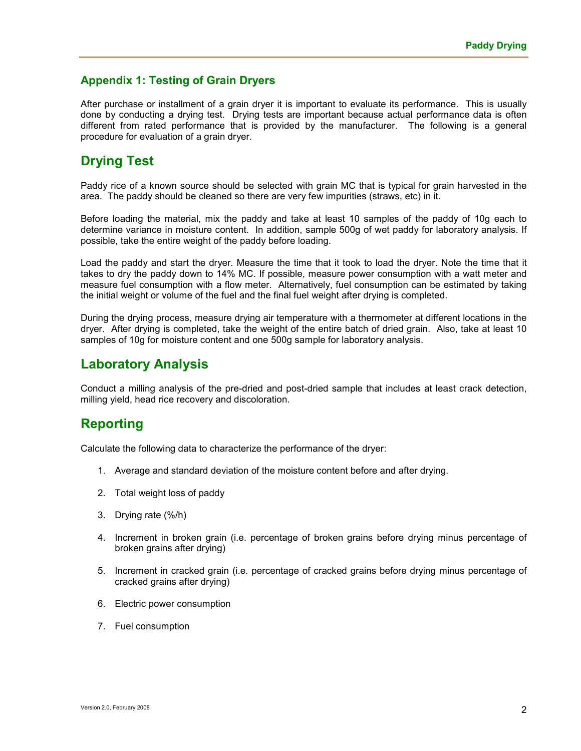# **Appendix 1: Testing of Grain Dryers**

After purchase or installment of a grain dryer it is important to evaluate its performance. This is usually done by conducting a drying test. Drying tests are important because actual performance data is often different from rated performance that is provided by the manufacturer. The following is a general procedure for evaluation of a grain dryer.

# **Drying Test**

Paddy rice of a known source should be selected with grain MC that is typical for grain harvested in the area. The paddy should be cleaned so there are very few impurities (straws, etc) in it.

Before loading the material, mix the paddy and take at least 10 samples of the paddy of 10g each to determine variance in moisture content. In addition, sample 500g of wet paddy for laboratory analysis. If possible, take the entire weight of the paddy before loading.

Load the paddy and start the dryer. Measure the time that it took to load the dryer. Note the time that it takes to dry the paddy down to 14% MC. If possible, measure power consumption with a watt meter and measure fuel consumption with a flow meter. Alternatively, fuel consumption can be estimated by taking the initial weight or volume of the fuel and the final fuel weight after drying is completed.

During the drying process, measure drying air temperature with a thermometer at different locations in the dryer. After drying is completed, take the weight of the entire batch of dried grain. Also, take at least 10 samples of 10g for moisture content and one 500g sample for laboratory analysis.

# **Laboratory Analysis**

Conduct a milling analysis of the pre-dried and post-dried sample that includes at least crack detection, milling yield, head rice recovery and discoloration.

# **Reporting**

Calculate the following data to characterize the performance of the dryer:

- 1. Average and standard deviation of the moisture content before and after drying.
- 2. Total weight loss of paddy
- 3. Drying rate (%/h)
- 4. Increment in broken grain (i.e. percentage of broken grains before drying minus percentage of broken grains after drying)
- 5. Increment in cracked grain (i.e. percentage of cracked grains before drying minus percentage of cracked grains after drying)
- 6. Electric power consumption
- 7. Fuel consumption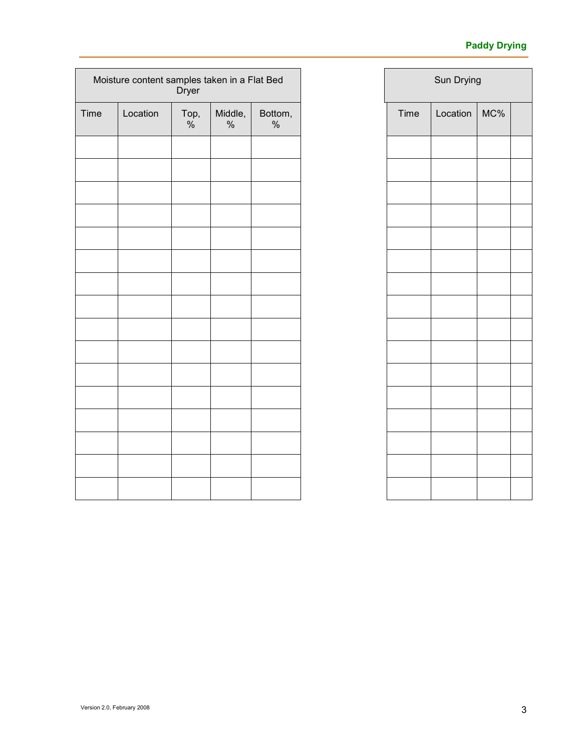# **Paddy Drying**

| Moisture content samples taken in a Flat Bed<br><b>Dryer</b> |          |                       |                 |                 |
|--------------------------------------------------------------|----------|-----------------------|-----------------|-----------------|
| Time                                                         | Location | Top,<br>$\frac{0}{6}$ | Middle,<br>$\%$ | Bottom,<br>$\%$ |
|                                                              |          |                       |                 |                 |
|                                                              |          |                       |                 |                 |
|                                                              |          |                       |                 |                 |
|                                                              |          |                       |                 |                 |
|                                                              |          |                       |                 |                 |
|                                                              |          |                       |                 |                 |
|                                                              |          |                       |                 |                 |
|                                                              |          |                       |                 |                 |
|                                                              |          |                       |                 |                 |
|                                                              |          |                       |                 |                 |
|                                                              |          |                       |                 |                 |
|                                                              |          |                       |                 |                 |
|                                                              |          |                       |                 |                 |
|                                                              |          |                       |                 |                 |
|                                                              |          |                       |                 |                 |
|                                                              |          |                       |                 |                 |

| Sun Drying |          |     |  |  |  |
|------------|----------|-----|--|--|--|
| Time       | Location | MC% |  |  |  |
|            |          |     |  |  |  |
|            |          |     |  |  |  |
|            |          |     |  |  |  |
|            |          |     |  |  |  |
|            |          |     |  |  |  |
|            |          |     |  |  |  |
|            |          |     |  |  |  |
|            |          |     |  |  |  |
|            |          |     |  |  |  |
|            |          |     |  |  |  |
|            |          |     |  |  |  |
|            |          |     |  |  |  |
|            |          |     |  |  |  |
|            |          |     |  |  |  |
|            |          |     |  |  |  |
|            |          |     |  |  |  |